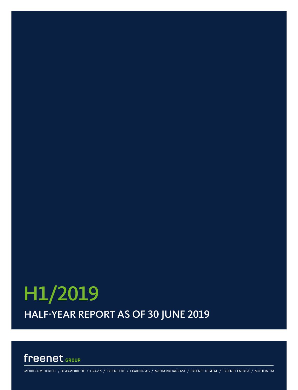# HALF-YEAR REPORT AS OF 30 JUNE 2019 H1/2019

### freenet GROUP

MOBILCOM-DEBITEL / KLARMOBIL.DE / GRAVIS / FREENET.DE / EXARING AG / MEDIA BROADCAST / FREENET DIGITAL / FREENET ENERGY / MOTION TM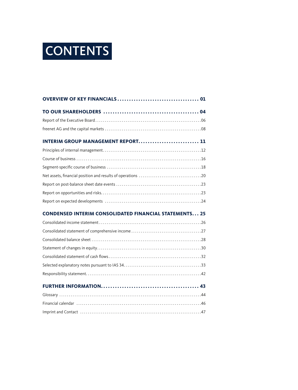# CONTENTS

| <b>INTERIM GROUP MANAGEMENT REPORT 11</b>                     |  |
|---------------------------------------------------------------|--|
|                                                               |  |
|                                                               |  |
|                                                               |  |
|                                                               |  |
|                                                               |  |
|                                                               |  |
|                                                               |  |
| <b>CONDENSED INTERIM CONSOLIDATED FINANCIAL STATEMENTS 25</b> |  |
|                                                               |  |
|                                                               |  |
|                                                               |  |
|                                                               |  |
|                                                               |  |
|                                                               |  |
|                                                               |  |
|                                                               |  |
|                                                               |  |
|                                                               |  |
|                                                               |  |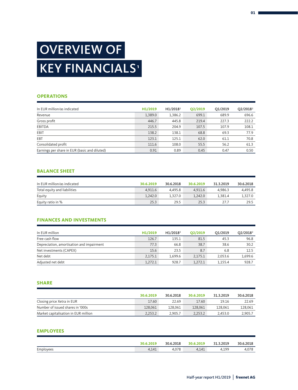# OVERVIEW OF **KEY FINANCIALS<sup>®</sup>**

#### **OPERATIONS**

| In EUR million/as indicated                   | H1/2019 | H1/2018 <sup>2</sup> | Q2/2019 | O1/2019 | $Q2/2018^2$ |
|-----------------------------------------------|---------|----------------------|---------|---------|-------------|
| Revenue                                       | 1,389.0 | 1,386.2              | 699.1   | 689.9   | 696.6       |
| Gross profit                                  | 446.7   | 445.8                | 219.4   | 227.3   | 222.2       |
| <b>EBITDA</b>                                 | 215.5   | 204.9                | 107.5   | 107.9   | 108.1       |
| EBIT                                          | 138.2   | 138.1                | 68.8    | 69.3    | 77.9        |
| <b>EBT</b>                                    | 123.1   | 125.1                | 62.0    | 61.1    | 70.8        |
| Consolidated profit                           | 111.6   | 108.0                | 55.5    | 56.2    | 61.3        |
| Earnings per share in EUR (basic and diluted) | 0.91    | 0.89                 | 0.45    | 0.47    | 0.50        |

#### **BALANCE SHEET**

| In EUR million/as indicated  | 30.6.2019 | 30.6.2018 | 30.6.2019 | 31.3.2019 | 30.6.2018 |
|------------------------------|-----------|-----------|-----------|-----------|-----------|
| Total equity and liabilities | 4.911.6   | 4.495.8   | 4.911.6   | 4.986.3   | 4.495.8   |
| Equity                       | 1.242.0   | 1.327.0   | 1.242.0   | 1.381.4   | 1,327.0   |
| Equity ratio in %            | 25.3      | 29.5      | 25.3      | 27.7      | 29.5      |

#### **FINANCES AND INVESTMENTS**

| In EUR million                            | H1/2019 | H1/2018 <sup>2</sup> | Q2/2019 | O1/2019 | Q2/2018 <sup>2</sup> |
|-------------------------------------------|---------|----------------------|---------|---------|----------------------|
| Free cash flow                            | 126.7   | 135.1                | 81.5    | 45.3    | 96.8                 |
| Depreciation, amortisation and impairment | 77.3    | 66.8                 | 38.7    | 38.6    | 30.2                 |
| Net investments (CAPEX)                   | 15.6    | 23.5                 | 8.7     | 6.8     | 12.5                 |
| Net debt                                  | 2.175.1 | 1.699.6              | 2.175.1 | 2.053.6 | 1.699.6              |
| Adjusted net debt                         | 1.272.1 | 928.7                | 1.272.1 | 1.155.4 | 928.7                |

#### **SHARE**

|                                      | 30.6.2019 | 30.6.2018 | 30.6.2019 | 31.3.2019 | 30.6.2018 |
|--------------------------------------|-----------|-----------|-----------|-----------|-----------|
| Closing price Xetra in EUR           | 17.60     | 22.69     | 17.60     | 19.16     | 22.69     |
| Number of issued shares in '000s     | 128.061   | 128.061   | 128,061   | 128.061   | 128,061   |
| Market capitalisation in EUR million | 2.253.2   | 2.905.7   | 2.253.2   | 2.453.0   | 2.905.7   |

#### **EMPLOYEES**

|           | 30.6.2019 | 30.6.2018 | 30.6.2019 | 31.3.2019 | 30.6.2018 |
|-----------|-----------|-----------|-----------|-----------|-----------|
| Employees | 4,141     | 4.078     | 4.141     | 4.199     | 4.078     |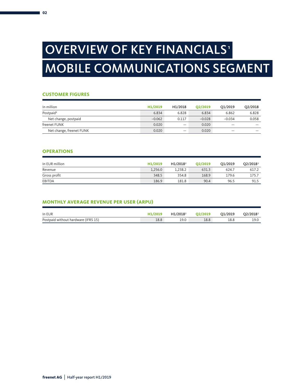# OVERVIEW OF KEY FINANCIALS<sup>®</sup> MOBILE COMMUNICATIONS SEGMENT

#### **CUSTOMER FIGURES**

| In million               | H1/2019  | H1/2018 | O <sub>2</sub> /2019 | O1/2019  | O2/2018 |
|--------------------------|----------|---------|----------------------|----------|---------|
| Postpaid <sup>3</sup>    | 6.834    | 6.828   | 6.834                | 6.862    | 6.828   |
| Net change, postpaid     | $-0.062$ | 0.117   | $-0.028$             | $-0.034$ | 0.058   |
| freenet FUNK             | 0.020    |         | 0.020                |          |         |
| Net change, freenet FUNK | 0.020    |         | 0.020                |          |         |

### **OPERATIONS**

| In EUR million | H1/2019 | H1/2018 <sup>2</sup> | O2/2019 | O1/2019 | O2/2018 <sup>2</sup> |
|----------------|---------|----------------------|---------|---------|----------------------|
| Revenue        | 1.256.0 | 1.238.2              | 631.3   | 624.7   | 617.2                |
| Gross profit   | 348.5   | 354.8                | 168.9   | 179.6   | 175.7                |
| EBITDA         | 186.9   | 181.8                | 90.4    | 96.5    | 91.5                 |

#### **MONTHLY AVERAGE REVENUE PER USER (ARPU)**

| In EUR                              | H1/2019 | H1/2018 <sup>2</sup> | O2/2019 | O1/2019 | O2/2018 <sup>2</sup> |
|-------------------------------------|---------|----------------------|---------|---------|----------------------|
| Postpaid without hardware (IFRS 15) | 18.8    | 19.0                 | 18.8    | 18.8    | 19.0                 |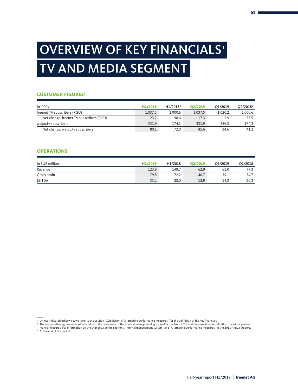# OVERVIEW OF KEY FINANCIALS<sup>®</sup> TV AND MEDIA SEGMENT

#### **CUSTOMER FIGURES3**

| In '000s                                 | H1/2019 | H1/2018 <sup>2</sup> | O2/2019 | O1/2019 | Q2/2018 <sup>2</sup> |
|------------------------------------------|---------|----------------------|---------|---------|----------------------|
| freenet TV subscribers (RGU)             | 1.037.5 | 1.000.6              | 1.037.5 | 1.020.2 | 1,000.6              |
| Net change, freenet TV subscribers (RGU) | 23.2    | 98.6                 | 17.3    | 5.9     | 55.5                 |
| waipu.tv subscribers                     | 331.9   | 174.3                | 331.9   | 286.3   | 174.3                |
| Net change, waipu.tv subscribers         | 80.1    | 72.0                 | 45.6    | 34.6    | 41.2                 |

#### **OPERATIONS**

| In EUR million | H1/2019 | H1/2018 | O2/2019 | O1/2019 | Q2/2018                          |
|----------------|---------|---------|---------|---------|----------------------------------|
| Revenue        | 123.9   | 148.7   | 62.9    | 61.0    | 77 :<br>$\overline{\phantom{a}}$ |
| Gross profit   | 79.8    | 72.2    | 40.7    | 39.1    | 34.7                             |
| <b>EBITDA</b>  | 33.2    | 28.0    | 18.9    | 14.3    | 20.3                             |

mance measures. For information on the changes, see the sections "Internal management system" and "Alternative performance measures" in the 2018 Annual Report. <sup>3</sup> At the end of the period.

<sup>&#</sup>x27; Unless indicated otherwise, we refer to the section "Calculation of alternative performance measures" for the definition of the key financials.<br>ªThe comparative figures were adjusted due to the refocusing of the interna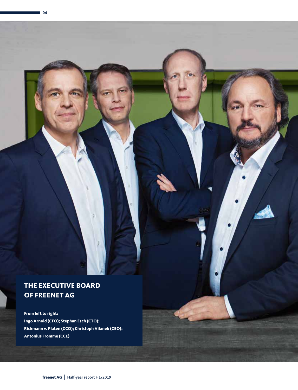### **THE EXECUTIVE BOARD OF FREENET AG**

**04** 

**From left to right: Ingo Arnold (CFO); Stephan Esch (CTO); Rickmann v. Platen (CCO); Christoph Vilanek (CEO); Antonius Fromme (CCE)**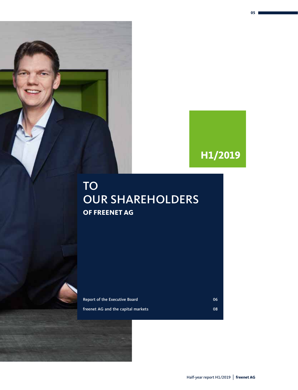## **H1/2019**

**05**

### TO OUR SHAREHOLDERS **OF FREENET AG**

Report of the Executive Board 06 and 06 and 06 and 06 and 06 and 06 and 06 and 06 and 06 and 06 and 06 and 06  $\mu$ 

freenet AG and the capital markets **1999** COS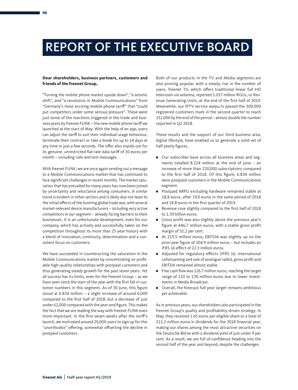## REPORT OF THE EXECUTIVE BOARD

#### **Dear shareholders, business partners, customers and friends of the freenet Group,**

"Turning the mobile phone market upside down", "a seismic shift", and "a revolution in Mobile Communications" from "Germany's most exciting mobile phone tariff" that "could put competitors under some serious pressure". These were just some of the reactions triggered in the trade and business press by freenet FUNK – the new mobile phone tariff we launched at the start of May. With the help of an app, users can adjust the tariff to suit their individual usage behaviour, terminate their contract or take a break for up to 14 days at any time in just a few seconds. The offer also stands out for its genuine, unrestricted flat-rate data tariff of 30 euros per month – including calls and text messages.

With freenet FUNK, we are once again sending out a message to a Mobile Communications market that has continued to face significant challenges in recent months. The market saturation that has prevailed for many years has now been joined by uncertainty and reluctance among consumers. A similar trend is evident in other sectors and is likely due not least to the initial effects of the looming global trade war, with several market-relevant device manufacturers – including very active competitors in our segment – already facing barriers to their businesses. It is an unfortunate development, even for our company, which has actively and successfully taken on the competition throughout its more than 25-year history with a blend of innovation, continuity, determination and a consistent focus on customers.

We have succeeded in counteracting the saturation in the Mobile Communications market by concentrating on profitable high-quality relationships with postpaid customers and thus generating steady growth for the past seven years. Yet all success has its limits, even for the freenet Group – as we have seen since the start of the year with the first fall in customer numbers in this segment. As of 30 June, this figure stood at 6.834 million – a slight increase of around 6,000 compared to the first half of 2018, but a decrease of just under 62,000 compared with the year-end figure. This makes the fact that we are leading the way with freenet FUNK even more important. In the first seven weeks after the tariff's launch, we motivated around 20,000 users to sign up for this "unorthodox" offering, somewhat offsetting the decline in postpaid customers.

Both of our products in the TV and Media segments are also proving popular, with a steady rise in the number of users. freenet TV, which offers traditional linear full HD television via antenna, reported 1.037 million RGUs, or Revenue Generating Units, at the end of the first half of 2019. Meanwhile, our IPTV service waipu.tv passed the 300,000 registered customers mark in the second quarter to reach 332,000 by the end of the period – almost double the number reported in Q2 2018.

These results and the support of our third business area, digital lifestyle, have enabled us to generate a solid set of half-yearly figures.

- Our subscriber base across all business areas and segments totalled 8.224 million at the end of June – an increase of more than 220,000 subscriptions compared to the first half of 2018. Of this figure, 6.834 million were postpaid customers in the Mobile Communications segment.
- Postpaid ARPU excluding hardware remained stable at 18.8 euros, after 19.0 euros in the same period of 2018 and 18.8 euros in the first quarter of 2019.
- Revenue rose slightly compared to the first half of 2018 to 1.39 billion euros.
- Gross profit was also slightly above the previous year's figure at 446.7 million euros, with a stable gross profit margin of 32.2 per cent.
- At 215.5 million euros, EBITDA was slightly up on the prior-year figure of 204.9 million euros – but includes an IFRS 16 effect of 22.3 million euros.
- Adjusted for regulatory effects (IFRS 16, international calls/roaming and sale of analogue radio), gross profit and EBITDA remained almost stable.
- Free cash flow was 126.7 million euros, reaching the target range of 110 to 130 million euros due to lower investments in Media Broadcast.
- Overall, the forecast full-year target remains ambitious yet achievable.

As in previous years, our shareholders also participated in the freenet Group's quality and profitability-driven strategy. In May, they received 1.65 euros per eligible share or a total of 211.2 million euros in dividends for the 2018 financial year, making our shares among the most attractive securities on the Deutsche Börse with a dividend yield of just under 9 per cent. As a result, we are full of confidence heading into the second half of the year and beyond, despite the challenges.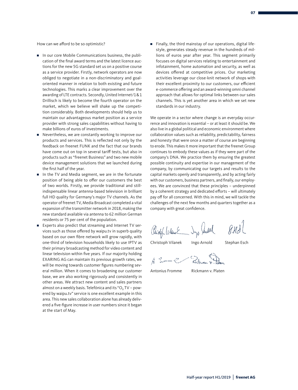How can we afford to be so optimistic?

- In our core Mobile Communications business, the publication of the final award terms and the latest licence auctions for the new 5G standard set us on a positive course as a service provider. Firstly, network operators are now obliged to negotiate in a non-discriminatory and goaloriented manner in relation to both existing and future technologies. This marks a clear improvement over the awarding of LTE contracts. Secondly, United Internet/1&1 Drillisch is likely to become the fourth operator on the market, which we believe will shake up the competition considerably. Both developments should help us to maintain our advantageous market position as a service provider with strong sales capabilities without having to make billions of euros of investments.
- Nevertheless, we are constantly working to improve our products and services. This is reflected not only by the feedback on freenet FUNK and the fact that our brands have come out on top in several tariff tests, but also in products such as "freenet Business" and two new mobile device management solutions that we launched during the first half of the year.
- In the TV and Media segment, we are in the fortunate position of being able to offer our customers the best of two worlds. Firstly, we provide traditional and stillindispensable linear antenna-based television in brilliant full HD quality for Germany's major TV channels. As the operator of freenet TV, Media Broadcast completed a vital expansion of the transmitter network in 2018, making the new standard available via antenna to 62 million German residents or 75 per cent of the population.
- Experts also predict that streaming and Internet TV services such as those offered by waipu.tv in superb quality based on our own fibre network will grow rapidly, with one-third of television households likely to use IPTV as their primary broadcasting method for video content and linear television within five years. If our majority holding EXARING AG can maintain its previous growth rates, we will be moving towards customer figures numbering several million. When it comes to broadening our customer base, we are also working rigorously and consistently in other areas. We attract new content and sales partners almost on a weekly basis. Telefónica and its "O<sub>2</sub> TV - powered by waipu.tv" service is one excellent example in this area. This new sales collaboration alone has already delivered a five-figure increase in user numbers since it began at the start of May.

■ Finally, the third mainstay of our operations, digital lifestyle, generates steady revenue in the hundreds of millions of euros year after year. This segment primarily focuses on digital services relating to entertainment and infotainment, home automation and security, as well as devices offered at competitive prices. Our marketing activities leverage our close-knit network of shops with their excellent proximity to our customers, our efficient e-commerce offering and an award-winning omni channel approach that allows for optimal links between our sales channels. This is yet another area in which we set new standards in our industry.

We operate in a sector where change is an everyday occurrence and innovation is essential – or at least it should be. We also live in a global political and economic environment where collaboration values such as reliability, predictability, fairness and honesty that were once a matter of course are beginning to erode. This makes it more important that the freenet Group continues to embody these values as if they were part of the company's DNA. We practice them by ensuring the greatest possible continuity and expertise in our management of the company, by communicating our targets and results to the capital markets openly and transparently, and by acting fairly with our customers, business partners, and finally, our employees. We are convinced that these principles – underpinned by a coherent strategy and dedicated efforts – will ultimately pay off for all concerned. With this in mind, we will tackle the challenges of the next few months and quarters together as a company with great confidence.

 $8.43$ Risphbilant Dys July

Christoph Vilanek Ingo Arnold Stephan Esch

Antonius Fromme Rickmann v. Platen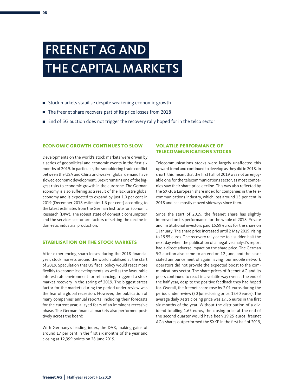## FREENET AG AND THE CAPITAL MARKETS

- Stock markets stabilise despite weakening economic growth
- The freenet share recovers part of its price losses from 2018
- End of 5G auction does not trigger the recovery rally hoped for in the telco sector

#### **ECONOMIC GROWTH CONTINUES TO SLOW**

Developments on the world's stock markets were driven by a series of geopolitical and economic events in the first six months of 2019. In particular, the smouldering trade conflict between the USA and China and weaker global demand have slowed economic development. Brexit remains one of the biggest risks to economic growth in the eurozone. The German economy is also suffering as a result of the lacklustre global economy and is expected to expand by just 1.0 per cent in 2019 (December 2018 estimate: 1.6 per cent) according to the latest estimates from the German Institute for Economic Research (DIW). The robust state of domestic consumption and the services sector are factors offsetting the decline in domestic industrial production.

#### **STABILISATION ON THE STOCK MARKETS**

After experiencing sharp losses during the 2018 financial year, stock markets around the world stabilised at the start of 2019. Speculation that US fiscal policy would react more flexibly to economic developments, as well as the favourable interest rate environment for refinancing, triggered a stock market recovery in the spring of 2019. The biggest stress factor for the markets during the period under review was the fear of a global recession. However, the publication of many companies' annual reports, including their forecasts for the current year, allayed fears of an imminent recessive phase. The German financial markets also performed positively across the board:

With Germany's leading index, the DAX, making gains of around 17 per cent in the first six months of the year and closing at 12,399 points on 28 June 2019.

#### **VOLATILE PERFORMANCE OF TELECOMMUNICATIONS STOCKS**

Telecommunications stocks were largely unaffected this upward trend and continued to develop as they did in 2018. In short, this meant that the first half of 2019 was not an enjoyable one for the telecommunications sector, as most companies saw their share price decline. This was also reflected by the SXKP, a European share index for companies in the telecommunications industry, which lost around 13 per cent in 2018 and has mostly moved sideways since then.

Since the start of 2019, the freenet share has slightly improved on its performance for the whole of 2018. Private and institutional investors paid 15.59 euros for the share on 1 January. The share price increased until 2 May 2019, rising to 19.55 euros. The recovery rally came to a sudden halt the next day when the publication of a negative analyst's report had a direct adverse impact on the share price. The German 5G auction also came to an end on 12 June, and the associated announcement of again having four mobile network operators did not provide the expected boost to the communications sector. The share prices of freenet AG and its peers continued to react in a volatile way even at the end of the half-year, despite the positive feedback they had hoped for. Overall, the freenet share rose by 2.01 euros during the period under review (30 June closing price: 17.60 euros). The average daily Xetra closing price was 17.56 euros in the first six months of the year. Without the distribution of a dividend totalling 1.65 euros, the closing price at the end of the second quarter would have been 19.25 euros. freenet AG's shares outperformed the SXKP in the first half of 2019,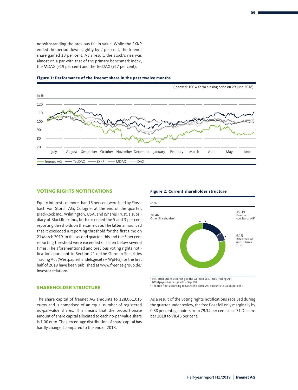notwithstanding the previous fall in value. While the SXKP ended the period down slightly by 2 per cent, the freenet share gained 13 per cent. As a result, the stock's rise was almost on a par with that of the primary benchmark index, the MDAX (+19 per cent) and the TecDAX (+17 per cent).



#### **Figure 1: Performance of the freenet share in the past twelve months**

#### **VOTING RIGHTS NOTIFICATIONS**

Equity interests of more than 15 per cent were held by Flossbach von Storch AG, Cologne, at the end of the quarter. BlackRock Inc., Wilmington, USA, and iShares Trust, a subsidiary of BlackRock Inc., both exceeded the 5 and 3 per cent reporting thresholds on the same date. The latter announced that it exceeded a reporting threshold for the first time on 21 March 2019. In the second quarter, this and the 5 per cent reporting threshold were exceeded or fallen below several times. The aforementioned and previous voting rights notifications pursuant to Section 21 of the German Securities Trading Act (Wertpapierhandelsgesetz – WpHG) for the first half of 2019 have been published at www.freenet-group.de/ investor-relations.

#### **SHAREHOLDER STRUCTURE**

The share capital of freenet AG amounts to 128,061,016 euros and is comprised of an equal number of registered no-par-value shares. This means that the proportionate amount of share capital allocated to each no-par-value share is 1.00 euro. The percentage distribution of share capital has hardly changed compared to the end of 2018.

#### **Figure 2: Current shareholder structure**



<sup>1</sup> incl. attributions according to the German Securities Trading Act (Wertpapierhandelsgesetz – WpHG).

<sup>2</sup> The free float according to Deutsche Börse AG amounts to 78.46 per cent.

As a result of the voting rights notifications received during the quarter under review, the free float fell only marginally by 0.88 percentage points from 79.34 per cent since 31 December 2018 to 78.46 per cent.

**09**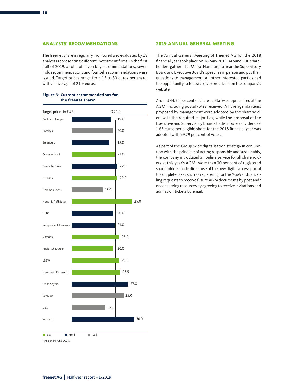The freenet share is regularly monitored and evaluated by 18 analysts representing different investment firms. In the first half of 2019, a total of seven buy recommendations, seven hold recommendations and four sell recommendations were issued. Target prices range from 15 to 30 euros per share, with an average of 21.9 euros.

| Target prices in EUR              |      | Ø 21.9 |
|-----------------------------------|------|--------|
| Bankhaus Lampe                    |      | 19.0   |
| Barclays                          |      | 20.0   |
| Berenberg                         |      | 18.0   |
| Commerzbank                       |      | 21.0   |
| Deutsche Bank                     |      | 22.0   |
| DZ Bank                           |      | 22.0   |
| Goldman Sachs                     | 15.0 |        |
| Hauck & Aufhäuser                 |      | 29.0   |
| <b>HSBC</b>                       |      | 20.0   |
| Independent Research              |      | 21.0   |
| Jefferies                         |      | 23.0   |
| Kepler Cheuvreux                  |      | 20.0   |
| LBBW                              |      | 23.0   |
| Newstreet Research                |      | 23.5   |
| Oddo Seydler                      |      | 27.0   |
| Redburn                           |      | 25.0   |
| UBS                               | 16.0 |        |
| Warburg                           |      | 30.0   |
| Hold<br><b>Buy</b>                | Sell |        |
| <sup>1</sup> As per 30 June 2019. |      |        |

#### **Figure 3: Current recommendations for the freenet share1**

#### **2019 ANNUAL GENERAL MEETING**

The Annual General Meeting of freenet AG for the 2018 financial year took place on 16 May 2019. Around 500 shareholders gathered at Messe Hamburg to hear the Supervisory Board and Executive Board's speeches in person and put their questions to management. All other interested parties had the opportunity to follow a (live) broadcast on the company's website.

Around 44.52 per cent of share capital was represented at the AGM, including postal votes received. All the agenda items proposed by management were adopted by the shareholders with the required majorities, while the proposal of the Executive and Supervisory Boards to distribute a dividend of 1.65 euros per eligible share for the 2018 financial year was adopted with 99.79 per cent of votes.

As part of the Group-wide digitalisation strategy in conjunction with the principle of acting responsibly and sustainably, the company introduced an online service for all shareholders at this year's AGM. More than 30 per cent of registered shareholders made direct use of the new digital access portal to complete tasks such as registering for the AGM and cancelling requests to receive future AGM documents by post and/ or conserving resources by agreeing to receive invitations and admission tickets by email.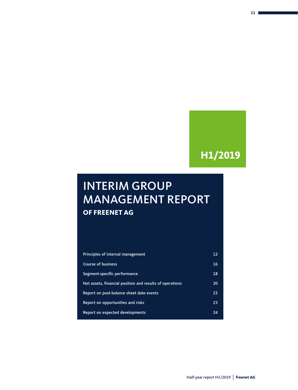### **H1/2019**

### INTERIM GROUP MANAGEMENT REPORT **OF FREENET AG**

| Principles of internal management                        | 12 |
|----------------------------------------------------------|----|
| <b>Course of business</b>                                | 16 |
| Segment-specific performance                             | 18 |
| Net assets, financial position and results of operations | 20 |
| Report on post-balance sheet date events                 | 23 |
| Report on opportunities and risks                        | 23 |
| Report on expected developments                          | 24 |
|                                                          |    |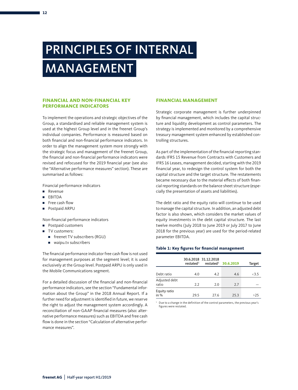# PRINCIPLES OF INTERNAL MANAGEMENT

#### **FINANCIAL AND NON-FINANCIAL KEY PERFORMANCE INDICATORS**

To implement the operations and strategic objectives of the Group, a standardised and reliable management system is used at the highest Group level and in the freenet Group's individual companies. Performance is measured based on both financial and non-financial performance indicators. In order to align the management system more strongly with the strategic focus and management of the freenet Group, the financial and non-financial performance indicators were revised and refocused for the 2019 financial year (see also the "Alternative performance measures" section). These are summarised as follows:

Financial performance indicators

- Revenue
- EBITDA
- Free cash flow
- Postpaid ARPU

Non-financial performance indicators

- Postpaid customers
- TV customers:
	- freenet TV subscribers (RGU)
	- waipu.tv subscribers

The financial performance indicator free cash flow is not used for management purposes at the segment level; it is used exclusively at the Group level. Postpaid ARPU is only used in the Mobile Communications segment.

For a detailed discussion of the financial and non-financial performance indicators, see the section "Fundamental information about the Group" in the 2018 Annual Report. If a further need for adjustment is identified in future, we reserve the right to adjust the management system accordingly. A reconciliation of non-GAAP financial measures (also: alternative performance measures) such as EBITDA and free cash flow is done in the section "Calculation of alternative performance measures".

#### **FINANCIAL MANAGEMENT**

Strategic corporate management is further underpinned by financial management, which includes the capital structure and liquidity development as control parameters. The strategy is implemented and monitored by a comprehensive treasury management system enhanced by established controlling structures.

As part of the implementation of the financial reporting standards IFRS 15 Revenue from Contracts with Customers and IFRS 16 Leases, management decided, starting with the 2019 financial year, to redesign the control system for both the capital structure and the target structure. The restatements became necessary due to the material effects of both financial reporting standards on the balance sheet structure (especially the presentation of assets and liabilities).

The debt ratio and the equity ratio will continue to be used to manage the capital structure. In addition, an adjusted debt factor is also shown, which considers the market values of equity investments in the debt capital structure. The last twelve months (July 2018 to June 2019 or July 2017 to June 2018 for the previous year) are used for the period-related parameter EBITDA.

#### **Table 1: Key figures for financial management**

|                        |      | 30.6.2018 31.12.2018<br>restated <sup>1</sup> restated <sup>1</sup> 30.6.2019 |      | <b>Target</b> |
|------------------------|------|-------------------------------------------------------------------------------|------|---------------|
| Debt ratio             | 4.0  | 4.2                                                                           | 4.6  | <3.5          |
| Adjusted debt<br>ratio | 2.2  | 2.0                                                                           | 2.7  |               |
| Equity ratio<br>in $%$ | 29.5 | 27.6                                                                          | 25.3 | >25           |

<sup>1</sup> Due to a change in the definition of the control parameters, the previous year's figures were restated.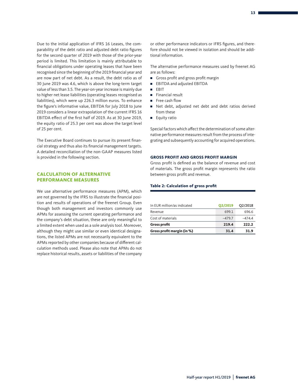Due to the initial application of IFRS 16 Leases, the comparability of the debt ratio and adjusted debt ratio figures for the second quarter of 2019 with those of the prior-year period is limited. This limitation is mainly attributable to financial obligations under operating leases that have been recognised since the beginning of the 2019 financial year and are now part of net debt. As a result, the debt ratio as of 30 June 2019 was 4.6, which is above the long-term target value of less than 3.5. The year-on-year increase is mainly due to higher net lease liabilities (operating leases recognised as liabilities), which were up 226.3 million euros. To enhance the figure's informative value, EBITDA for July 2018 to June 2019 considers a linear extrapolation of the current IFRS 16 EBITDA effect of the first half of 2019. As at 30 June 2019, the equity ratio of 25.3 per cent was above the target level of 25 per cent.

The Executive Board continues to pursue its present financial strategy and thus also its financial management targets. A detailed reconciliation of the non-GAAP measures listed is provided in the following section.

#### **CALCULATION OF ALTERNATIVE PERFORMANCE MEASURES**

We use alternative performance measures (APM), which are not governed by the IFRS to illustrate the financial position and results of operations of the freenet Group. Even though both management and investors commonly use APMs for assessing the current operating performance and the company's debt situation, these are only meaningful to a limited extent when used as a sole analysis tool. Moreover, although they might use similar or even identical designations, the listed APMs are not necessarily equivalent to the APMs reported by other companies because of different calculation methods used. Please also note that APMs do not replace historical results, assets or liabilities of the company or other performance indicators or IFRS figures, and therefore should not be viewed in isolation and should be additional information.

The alternative performance measures used by freenet AG are as follows:

- Gross profit and gross profit margin
- EBITDA and adjusted EBITDA
- EBIT
- Financial result
- Free cash flow
- Net debt, adjusted net debt and debt ratios derived from these
- Equity ratio

Special factors which affect the determination of some alternative performance measures result from the process of integrating and subsequently accounting for acquired operations.

#### **GROSS PROFIT AND GROSS PROFIT MARGIN**

Gross profit is defined as the balance of revenue and cost of materials. The gross profit margin represents the ratio between gross profit and revenue.

#### **Table 2: Calculation of gross profit**

| In EUR million/as indicated | Q2/2019  | Q2/2018 |
|-----------------------------|----------|---------|
| Revenue                     | 699.1    | 696.6   |
| Cost of materials           | $-479.7$ | -4744   |
| <b>Gross profit</b>         | 219.4    | 222.2   |
| Gross profit margin (in %)  | 31.4     | 31.9    |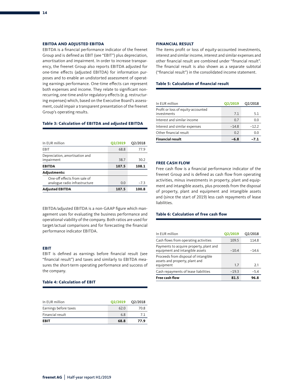#### **EBITDA AND ADJUSTED EBITDA**

EBITDA is a financial performance indicator of the freenet Group and is defined as EBIT (see "EBIT") plus depreciation, amortisation and impairment. In order to increase transparency, the freenet Group also reports EBITDA adjusted for one-time effects (adjusted EBITDA) for information purposes and to enable an undistorted assessment of operating earnings performance. One-time effects can represent both expenses and income. They relate to significant nonrecurring, one-time and/or regulatory effects (e. g. restructuring expenses) which, based on the Executive Board's assessment, could impair a transparent presentation of the freenet Group's operating results.

#### **Table 3: Calculation of EBITDA and adjusted EBITDA**

| In EUR million                                                | <b>Q2/2019</b> | Q2/2018 |
|---------------------------------------------------------------|----------------|---------|
| EBIT                                                          | 68.8           | 77.9    |
| Depreciation, amortisation and<br>impairment                  | 38.7           | 30.2    |
| <b>EBITDA</b>                                                 | 107.5          | 108.1   |
| <b>Adjustments:</b>                                           |                |         |
| One-off effects from sale of<br>analogue radio infrastructure | 0.0            | $-7.3$  |
| <b>Adjusted EBITDA</b>                                        | 107.5          | 100.8   |

EBITDA/adjusted EBITDA is a non-GAAP figure which management uses for evaluating the business performance and operational viability of the company. Both ratios are used for target/actual comparisons and for forecasting the financial performance indicator EBITDA.

#### **EBIT**

EBIT is defined as earnings before financial result (see "financial result") and taxes and similarly to EBITDA measures the short-term operating performance and success of the company.

#### **Table 4: Calculation of EBIT**

| In EUR million        | O2/2019 | O <sub>2</sub> /2018 |
|-----------------------|---------|----------------------|
| Earnings before taxes | 62.0    | 70.8                 |
| Financial result      | 6.8     | 71                   |
| <b>EBIT</b>           | 68.8    | 77.9                 |

#### **FINANCIAL RESULT**

The items profit or loss of equity-accounted investments, interest and similar income, interest and similar expenses and other financial result are combined under "financial result". The financial result is also shown as a separate subtotal ("financial result") in the consolidated income statement.

#### **Table 5: Calculation of financial result**

| In EUR million                                    | Q2/2019 | Q2/2018 |
|---------------------------------------------------|---------|---------|
| Profit or loss of equity-accounted<br>investments | 7.1     | 5.1     |
| Interest and similar income                       | 0.7     | 0.0     |
| Interest and similar expenses                     | $-14.8$ | $-12.2$ |
| Other financial result                            | 0.2     | 0.0     |
| <b>Financial result</b>                           | $-6.8$  | $-7.1$  |

#### **FREE CASH FLOW**

Free cash flow is a financial performance indicator of the freenet Group and is defined as cash flow from operating activities, minus investments in property, plant and equipment and intangible assets, plus proceeds from the disposal of property, plant and equipment and intangible assets and (since the start of 2019) less cash repayments of lease liabilities.

#### **Table 6: Calculation of free cash flow**

| In EUR million                                                                      | Q2/2019 | Q2/2018 |
|-------------------------------------------------------------------------------------|---------|---------|
| Cash flows from operating activities                                                | 109.5   | 114.8   |
| Payments to acquire property, plant and<br>equipment and intangible assets          | $-10.4$ | $-14.6$ |
| Proceeds from disposal of intangible<br>assets and property, plant and<br>equipment | 1.7     | 2.1     |
| Cash repayments of lease liabilities                                                | $-19.3$ | $-5.4$  |
| <b>Free cash flow</b>                                                               | 81.5    | 96.8    |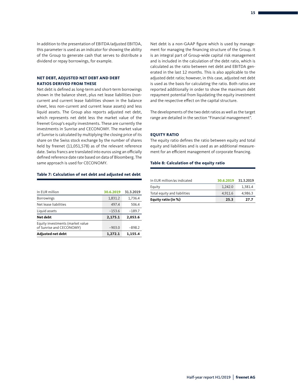In addition to the presentation of EBITDA/adjusted EBITDA, this parameter is used as an indicator for showing the ability of the Group to generate cash that serves to distribute a dividend or repay borrowings, for example.

#### **NET DEBT, ADJUSTED NET DEBT AND DEBT RATIOS DERIVED FROM THESE**

Net debt is defined as long-term and short-term borrowings shown in the balance sheet, plus net lease liabilities (noncurrent and current lease liabilities shown in the balance sheet, less non-current and current lease assets) and less liquid assets. The Group also reports adjusted net debt, which represents net debt less the market value of the freenet Group's equity investments. These are currently the investments in Sunrise and CECONOMY. The market value of Sunrise is calculated by multiplying the closing price of its share on the Swiss stock exchange by the number of shares held by freenet (11,051,578) as of the relevant reference date. Swiss francs are translated into euros using an officially defined reference date rate based on data of Bloomberg. The same approach is used for CECONOMY.

#### **Table 7: Calculation of net debt and adjusted net debt**

| In EUR million                                               | 30.6.2019 | 31.3.2019 |
|--------------------------------------------------------------|-----------|-----------|
| <b>Borrowings</b>                                            | 1,831.2   | 1,736.4   |
| Net lease liabilities                                        | 497.4     | 506.4     |
| Liquid assets                                                | $-153.6$  | $-189.7$  |
| Net debt                                                     | 2,175.1   | 2.053.6   |
| Equity investments (market value<br>of Sunrise and CECONOMY) | $-903.0$  | $-898.2$  |
| <b>Adjusted net debt</b>                                     | 1,272.1   | 1.155.4   |

Net debt is a non-GAAP figure which is used by management for managing the financing structure of the Group. It is an integral part of Group-wide capital risk management and is included in the calculation of the debt ratio, which is calculated as the ratio between net debt and EBITDA generated in the last 12 months. This is also applicable to the adjusted debt ratio; however, in this case, adjusted net debt is used as the basis for calculating the ratio. Both ratios are reported additionally in order to show the maximum debt repayment potential from liquidating the equity investment and the respective effect on the capital structure.

The developments of the two debt ratios as well as the target range are detailed in the section "Financial management".

#### **EQUITY RATIO**

The equity ratio defines the ratio between equity and total equity and liabilities and is used as an additional measurement for an efficient management of corporate financing.

#### **Table 8: Calculation of the equity ratio**

| Equity ratio (in %)          | 25.3      | 27.7      |
|------------------------------|-----------|-----------|
| Total equity and liabilities | 4.911.6   | 4.986.3   |
| Equity                       | 1.242.0   | 1.381.4   |
| In EUR million/as indicated  | 30.6.2019 | 31.3.2019 |
|                              |           |           |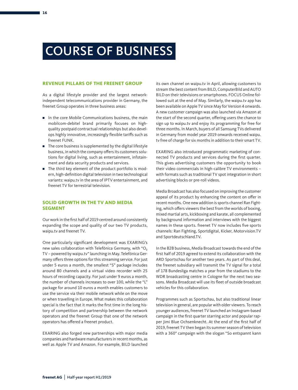## COURSE OF BUSINESS

#### **REVENUE PILLARS OF THE FREENET GROUP**

As a digital lifestyle provider and the largest networkindependent telecommunications provider in Germany, the freenet Group operates in three business areas:

- In the core Mobile Communications business, the main mobilcom-debitel brand primarily focuses on highquality postpaid contractual relationships but also develops highly innovative, increasingly flexible tariffs such as freenet FUNK.
- The core business is supplemented by the digital lifestyle business, in which the company offers its customers solutions for digital living, such as entertainment, infotainment and data security products and services.
- The third key element of the product portfolio is modern, high-definition digital television in two technological variants: waipu.tv in the area of IPTV entertainment, and freenet TV for terrestrial television.

#### **SOLID GROWTH IN THE TV AND MEDIA SEGMENT**

Our work in the first half of 2019 centred around consistently expanding the scope and quality of our two TV products, waipu.tv and freenet TV.

One particularly significant development was EXARING's new sales collaboration with Telefónica Germany, with "O<sub>2</sub> TV – powered by waipu.tv" launching in May. Telefónica Germany offers three options for this streaming service. For just under 5 euros a month, the smallest "S" package includes around 80 channels and a virtual video recorder with 25 hours of recording capacity. For just under 9 euros a month, the number of channels increases to over 100, while the "L" package for around 10 euros a month enables customers to use the service via their mobile network while on the move or when travelling in Europe. What makes this collaboration special is the fact that it marks the first time in the long history of competition and partnership between the network operators and the freenet Group that one of the network operators has offered a freenet product.

EXARING also forged new partnerships with major media companies and hardware manufacturers in recent months, as well as Apple TV and Amazon. For example, BILD launched

its own channel on waipu.tv in April, allowing customers to stream the best content from BILD, ComputerBild and AUTO BILD on their televisions or smartphones. FOCUS Online followed suit at the end of May. Similarly, the waipu.tv app has been available on Apple TV since May for Version 4 onwards. A new customer campaign was also launched via Amazon at the start of the second quarter, offering users the chance to sign up to waipu.tv and enjoy its programming for free for three months. In March, buyers of all Samsung TVs delivered in Germany from model year 2019 onwards received waipu. tv free of charge for six months in addition to their smart TV.

EXARING also introduced programmatic marketing of connected TV products and services during the first quarter. This gives advertising customers the opportunity to book their video commercials in high-calibre TV environments – with formats such as traditional TV spot integration in short advertising blocks or pre-roll videos.

Media Broadcast has also focused on improving the customer appeal of its product by enhancing the content on offer in recent months. One new addition is sports channel Ran Fighting, which offers viewers the best from the worlds of boxing, mixed martial arts, kickboxing and karate, all complemented by background information and interviews with the biggest names in these sports. freenet TV now includes five sports channels: Ran Fighting, Sportdigital, Kicker, Motorvision.TV and Sportdeutschland.TV.

In the B2B business, Media Broadcast towards the end of the first half of 2019 agreed to extend its collaboration with the ARD Sportschau for another two years. As part of this deal, the freenet subsidiary will transmit the TV signal for a total of 178 Bundesliga matches a year from the stadiums to the WDR broadcasting centre in Cologne for the next two seasons. Media Broadcast will use its fleet of outside broadcast vehicles for this collaboration.

Programmes such as Sportschau, but also traditional linear television in general, are popular with older viewers. To reach younger audiences, freenet TV launched an Instagram-based campaign in the first quarter starring actor and popular rapper Jimi Blue Ochsenknecht. At the end of the first half of 2019, freenet TV then began its summer season of television with a 360° campaign with the slogan "So entspannt kann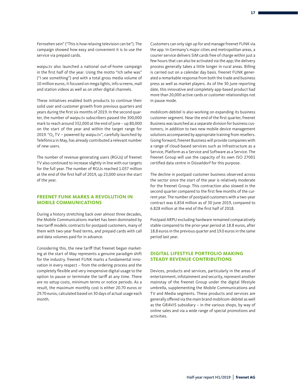waipu.tv also launched a national out-of-home campaign in the first half of the year. Using the motto "Ich sehe was" ("I see something") and with a total gross media volume of 10 million euros, it focused on mega lights, info screens, mall and station videos as well as on other digital channels.

These initiatives enabled both products to continue their solid user and customer growth from previous quarters and years during the first six months of 2019. In the second quarter, the number of waipu.tv subscribers passed the 300,000 mark to reach around 332,000 at the end of June – up 80,000 on the start of the year and within the target range for 2019. "O<sub>2</sub> TV – powered by waipu.tv", carefully launched by Telefónica in May, has already contributed a relevant number of new users.

The number of revenue-generating users (RGUs) of freenet TV also continued to increase slightly in line with our targets for the full year. The number of RGUs reached 1.037 million at the end of the first half of 2019, up 23,000 since the start of the year.

#### **FREENET FUNK MARKS A REVOLUTION IN MOBILE COMMUNICATIONS**

During a history stretching back over almost three decades, the Mobile Communications market has been dominated by two tariff models: contracts for postpaid customers, many of them with two-year fixed terms, and prepaid cards with call and data volumes paid for in advance.

Considering this, the new tariff that freenet began marketing at the start of May represents a genuine paradigm shift for the industry. freenet FUNK marks a fundamental innovation in every respect – from the ordering process and the completely flexible and very inexpensive digital usage to the option to pause or terminate the tariff at any time. There are no setup costs, minimum terms or notice periods. As a result, the maximum monthly cost is either 20.70 euros or 29.70 euros, calculated based on 30 days of actual usage each month.

Customers can only sign up for and manage freenet FUNK via the app. In Germany's major cities and metropolitan areas, a courier service delivers SIM cards free of charge within just a few hours that can also be activated via the app; the delivery process generally takes a little longer in rural areas. Billing is carried out on a calendar day basis. freenet FUNK generated a remarkable response from both the trade and business press as well as market players. As of the 30 June reporting date, this innovative and completely app-based product had more than 20,000 active cards or customer relationships not in pause mode.

mobilcom-debitel is also working on expanding its business customer segment. Near the end of the first quarter, freenet Business was launched as a separate division for business customers, in addition to two new mobile device management solutions accompanied by appropriate training from resellers. Going forward, freenet Business will provide companies with a range of cloud-based services such as Infrastructure as a Service, Platform as a Service and Software as a Service. The freenet Group will use the capacity of its own ISO 27001 certified data centre in Düsseldorf for this purpose.

The decline in postpaid customer business observed across the sector since the start of the year is relatively moderate for the freenet Group. This contraction also slowed in the second quarter compared to the first few months of the current year. The number of postpaid customers with a two-year contract was 6.834 million as of 30 June 2019, compared to 6.828 million at the end of the first half of 2018.

Postpaid ARPU excluding hardware remained comparatively stable compared to the prior-year period at 18.8 euros, after 18.8 euros in the previous quarter and 19.0 euros in the same period last year.

#### **DIGITAL LIFESTYLE PORTFOLIO MAKING STEADY REVENUE CONTRIBUTIONS**

Devices, products and services, particularly in the areas of entertainment, infotainment and security, represent another mainstay of the freenet Group under the digital lifestyle umbrella, supplementing the Mobile Communications and TV and Media segments. These products and services are generally offered via the main brand mobilcom-debitel as well as the GRAVIS subsidiary – in the various shops, by way of online sales and via a wide range of special promotions and activities.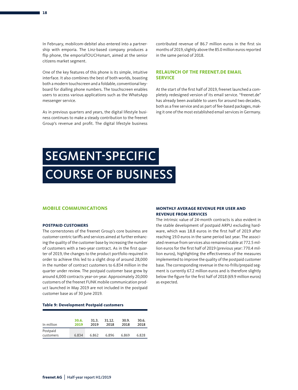In February, mobilcom-debitel also entered into a partnership with emporia. The Linz-based company produces a flip phone, the emporiaTOUCHsmart, aimed at the senior citizens market segment.

One of the key features of this phone is its simple, intuitive interface. It also combines the best of both worlds, boasting both a modern touchscreen and a foldable, conventional keyboard for dialling phone numbers. The touchscreen enables users to access various applications such as the WhatsApp messenger service.

As in previous quarters and years, the digital lifestyle business continues to make a steady contribution to the freenet Group's revenue and profit. The digital lifestyle business

contributed revenue of 86.7 million euros in the first six months of 2019, slightly above the 85.0 million euros reported in the same period of 2018.

#### **RELAUNCH OF THE FREENET.DE EMAIL SERVICE**

At the start of the first half of 2019, freenet launched a completely redesigned version of its email service. "freenet.de" has already been available to users for around two decades, both as a free service and as part of fee-based packages, making it one of the most established email services in Germany.

# SEGMENT-SPECIFIC COURSE OF BUSINESS

#### **MOBILE COMMUNICATIONS**

#### **POSTPAID CUSTOMERS**

The cornerstones of the freenet Group's core business are customer-centric tariffs and services aimed at further enhancing the quality of the customer base by increasing the number of customers with a two-year contract. As in the first quarter of 2019, the changes to the product portfolio required in order to achieve this led to a slight drop of around 28,000 in the number of contract customers to 6.834 million in the quarter under review. The postpaid customer base grew by around 6,000 contracts year-on-year. Approximately 20,000 customers of the freenet FUNK mobile communication product launched in May 2019 are not included in the postpaid customer base as of 30 June 2019.

#### **MONTHLY AVERAGE REVENUE PER USER AND REVENUE FROM SERVICES**

The intrinsic value of 24-month contracts is also evident in the stable development of postpaid ARPU excluding hardware, which was 18.8 euros in the first half of 2019 after reaching 19.0 euros in the same period last year. The associated revenue from services also remained stable at 772.5 million euros for the first half of 2019 (previous year: 770.4 million euros), highlighting the effectiveness of the measures implemented to improve the quality of the postpaid customer base. The corresponding revenue in the no-frills/prepaid segment is currently 67.2 million euros and is therefore slightly below the figure for the first half of 2018 (69.9 million euros) as expected.

#### **Table 9: Development Postpaid customers**

| In million            | 30.6. | 31.3. | 31.12. | 30.9. | 30.6. |
|-----------------------|-------|-------|--------|-------|-------|
|                       | 2019  | 2019  | 2018   | 2018  | 2018  |
| Postpaid<br>customers | 6.834 | 6.862 | 6.896  | 6.869 | 6.828 |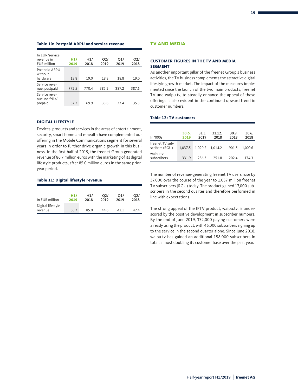#### **Table 10: Postpaid ARPU and service revenue**

| In EUR/service<br>revenue in<br><b>EUR</b> million | H1/<br>2019 | H1/<br>2018 | O <sub>2</sub><br>2019 | O1/<br>2019 | O <sub>2</sub><br>2018 |
|----------------------------------------------------|-------------|-------------|------------------------|-------------|------------------------|
| Postpaid ARPU<br>without<br>hardware               | 18.8        | 19.0        | 18.8                   | 18.8        | 19.0                   |
| Service reve-<br>nue, postpaid                     | 772.5       | 770.4       | 385.2                  | 387.2       | 387.6                  |
| Service reve-<br>nue, no-frills/<br>prepaid        | 67.2        | 69.9        | 33.8                   | 33.4        | 35.3                   |

#### **DIGITAL LIFESTYLE**

Devices, products and services in the areas of entertainment, security, smart home and e-health have complemented our offering in the Mobile Communications segment for several years in order to further drive organic growth in this business. In the first half of 2019, the freenet Group generated revenue of 86.7 million euros with the marketing of its digital lifestyle products, after 85.0 million euros in the same prioryear period.

#### **Table 11: Digital lifestyle revenue**

| In EUR million               | H1/  | H1/  | O <sub>2</sub> | O1/  | O <sub>2</sub> |
|------------------------------|------|------|----------------|------|----------------|
|                              | 2019 | 2018 | 2019           | 2019 | 2018           |
| Digital lifestyle<br>revenue | 86.7 | 85.0 | 44.6           | 42.1 | 42.4           |

#### **TV AND MEDIA**

#### **CUSTOMER FIGURES IN THE TV AND MEDIA SEGMENT**

As another important pillar of the freenet Group's business activities, the TV business complements the attractive digital lifestyle growth market. The impact of the measures implemented since the launch of the two main products, freenet TV und waipu.tv, to steadily enhance the appeal of these offerings is also evident in the continued upward trend in customer numbers.

#### **Table 12: TV customers**

| In '000s                          | 30.6.<br>2019 | 31.3.<br>2019 | 31.12.<br>2018 | 30.9.<br>2018 | 30.6.<br>2018 |
|-----------------------------------|---------------|---------------|----------------|---------------|---------------|
| freenet TV sub-<br>scribers (RGU) | 1.037.5       | 1.020.2       | 1,014.2        | 901.5         | 1.000.6       |
| waipu.tv<br>subscribers           | 331.9         | 286.3         | 251.8          | 202.4         | 1743          |

The number of revenue-generating freenet TV users rose by 37,000 over the course of the year to 1.037 million freenet TV subscribers (RGU) today. The product gained 17,000 subscribers in the second quarter and therefore performed in line with expectations.

The strong appeal of the IPTV product, waipu.tv, is underscored by the positive development in subscriber numbers. By the end of June 2019, 332,000 paying customers were already using the product, with 46,000 subscribers signing up to the service in the second quarter alone. Since June 2018, waipu.tv has gained an additional 158,000 subscribers in total, almost doubling its customer base over the past year.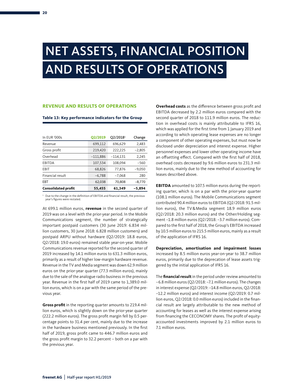## NET ASSETS, FINANCIAL POSITION AND RESULTS OF OPERATIONS

#### **REVENUE AND RESULTS OF OPERATIONS**

#### **Table 13: Key performance indicators for the Group**

| In EUR '000s               | <b>Q2/2019</b> | Q2/2018 <sup>1</sup> | Change   |
|----------------------------|----------------|----------------------|----------|
| Revenue                    | 699,112        | 696,629              | 2,483    |
| Gross profit               | 219,420        | 222,225              | $-2,805$ |
| Overhead                   | $-111,886$     | $-114,131$           | 2,245    |
| EBITDA                     | 107,534        | 108.094              | $-560$   |
| EBIT                       | 68,826         | 77,876               | $-9,050$ |
| Financial result           | $-6,788$       | $-7,068$             | 280      |
| EBT                        | 62,038         | 70,808               | $-8,770$ |
| <b>Consolidated profit</b> | 55,455         | 61,349               | $-5,894$ |

<sup>1</sup> Due to the change in the definition of EBITDA and financial result, the previous year's figures were restated.

At 699.1 million euros, **revenue** in the second quarter of 2019 was on a level with the prior-year period. In the Mobile Communications segment, the number of strategically important postpaid customers (30 June 2019: 6.834 million customers, 30 June 2018: 6.828 million customers) and postpaid ARPU without hardware (Q2/2019: 18.8 euros, Q2/2018: 19.0 euros) remained stable year-on-year. Mobile Communications revenue reported for the second quarter of 2019 increased by 14.1 million euros to 631.3 million euros, primarily as a result of higher low-margin hardware revenue. Revenue in the TV and Media segment was down 62.9 million euros on the prior-year quarter (77.3 million euros), mainly due to the sale of the analogue radio business in the previous year. Revenue in the first half of 2019 came to 1,389.0 million euros, which is on a par with the same period of the previous year.

**Gross profit** in the reporting quarter amounts to 219.4 million euros, which is slightly down on the prior-year quarter (222.2 million euros). The gross profit margin fell by 0.5 percentage points to 31.4 per cent, mainly due to the increase in the hardware business mentioned previously. In the first half of 2019, gross profit came to 446.7 million euros and the gross profit margin to 32.2 percent – both on a par with the previous year.

**Overhead costs** as the difference between gross profit and EBITDA decreased by 2.2 million euros compared with the second quarter of 2018 to 111.9 million euros. The reduction in overhead costs is mainly attributable to IFRS 16, which was applied for the first time from 1 January 2019 and according to which operating lease expenses are no longer a component of other operating expenses, but must now be disclosed under depreciation and interest expense. Higher personnel expenses and lower other operating income have an offsetting effect. Compared with the first half of 2018, overhead costs decreased by 9.6 million euros to 231.3 million euros, mainly due to the new method of accounting for leases described above.

**EBITDA** amounted to 107.5 million euros during the reporting quarter, which is on a par with the prior-year quarter (108.1 million euros). The Mobile Communications segment contributed 90.4 million euros to EBITDA (Q2/2018: 91.5 million euros), the TV&Media segment 18.9 million euros (Q2/2018: 20.3 million euros) and the Other/Holding segment –1.8 million euros (Q2/2018: –3.7 million euros). Compared to the first half of 2018, the Group's EBITDA increased by 10.5 million euros to 215.5 million euros, mainly as a result of the application of IFRS 16.

**Depreciation, amortisation and impairment losses** increased by 8.5 million euros year-on-year to 38.7 million euros, primarily due to the deprecation of lease assets triggered by the initial application of IFRS 16.

The **financial result** in the period under review amounted to –6.8 million euros (Q2/2018: –7.1 million euros). The changes in interest expense (Q2/2019: –14.8 million euros, Q2/2018: –12.2 million euros) and interest income (Q2/2019: 0.7 million euros, Q2/2018: 0.0 million euros) included in the financial result are largely attributable to the new method of accounting for leases as well as the interest expense arising from financing the CECONOMY shares. The profit of equityaccounted investments improved by 2.1 million euros to 7.1 million euros.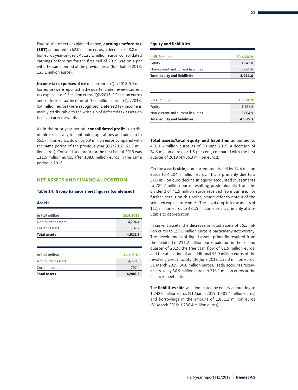Due to the effects explained above, **earnings before tax (EBT)** amounted to 62.0 million euros, a decrease of 8.8 million euros year-on-year. At 123.1 million euros, consolidated earnings before tax for the first half of 2019 was on a par with the same period of the previous year (first half of 2018: 125.1 million euros).

**Income tax expenses** of 6.6 million euros (Q2/2018: 9.5 million euros) were reported in the quarter under review. Current tax expenses of 9.6 million euros (Q2/2018: 9.9 million euros) and deferred tax income of 3.0 million euros (Q2/2018: 0.4 million euros) were recognised. Deferred tax income is mainly attributable to the write-up of deferred tax assets on tax loss carry forwards.

As in the prior-year period, **consolidated profit** is attributable exclusively to continuing operations and adds up to 55.5 million euros, down by 5.9 million euros compared with the same period of the previous year (Q2/2018: 61.3 million euros). Consolidated profit for the first half of 2019 was 111.6 million euros, after 108.0 million euros in the same period in 2018.

#### **NET ASSETS AND FINANCIAL POSITION**

#### **Table 14: Group balance sheet figures (condensed)**

#### **Assets**

| 4.911.6   |
|-----------|
| 707.2     |
| 4.204.4   |
| 30.6.2019 |
|           |

| 4,986.3   |
|-----------|
| 707.4     |
| 4.278.8   |
| 31.3.2019 |
|           |

#### **Equity and liabilities**

| <b>Total equity and liabilities</b> | 4,911.6   |
|-------------------------------------|-----------|
| Non-current and current liabilities | 3,669.6   |
| Equity                              | 1.242.0   |
| In EUR million                      | 30.6.2019 |

| 4,986.3   |
|-----------|
| 3.604.9   |
| 1.381.4   |
| 31.3.2019 |
|           |

**Total assets/total equity and liabilities** amounted to 4,911.6 million euros as of 30 June 2019, a decrease of 74.6 million euros, or 1.5 per cent, compared with the first quarter of 2019 (4,986.3 million euros).

On the **assets side**, non-current assets fell by 74.4 million euros to 4,204.4 million euros. This is primarily due to a 37.0 million euro decline in equity-accounted investments to 782.2 million euros resulting predominantly from the dividend of 41.5 million euros received from Sunrise. For further details on this point, please refer to note 4 of the selected explanatory notes. The slight drop in lease assets of 11.1 million euros to 481.5 million euros is primarily attributable to depreciation.

In current assets, the decrease in liquid assets of 36.1 million euros to 153.6 million euros is particularly noteworthy. The development of liquid assets primarily resulted from the dividend of 211.2 million euros paid out in the second quarter of 2019, the free cash flow of 81.5 million euros, and the utilisation of an additional 95.0 million euros of the revolving credit facility (30 June 2019: 125.0 million euros, 31 March 2019: 30.0 million euros). Trade accounts receivable rose by 36.9 million euros to 216.1 million euros at the balance sheet date.

The **liabilities side** was dominated by equity amounting to 1,242.0 million euros (31 March 2019: 1,381.4 million euros) and borrowings in the amount of 1,831.2 million euros (31 March 2019: 1,736.4 million euros).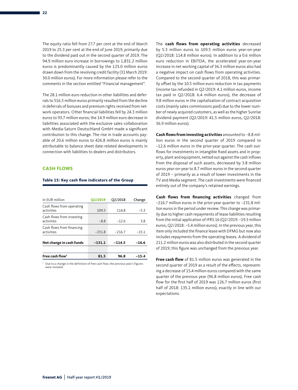The equity ratio fell from 27.7 per cent at the end of March 2019 to 25.3 per cent at the end of June 2019, primarily due to the dividend paid out in the second quarter of 2019. The 94.9 million euro increase in borrowings to 1,831.2 million euros is predominantly caused by the 125.0 million euros drawn down from the revolving credit facility (31 March 2019: 30.0 million euros). For more information please refer to the comments in the section entitled "Financial management".

The 28.1 million euro reduction in other liabilities and deferrals to 516.5 million euros primarily resulted from the decline in deferrals of bonuses and premium rights received from network operators. Other financial liabilities fell by 24.3 million euros to 93.7 million euros; the 14.9 million euro decrease in liabilities associated with the exclusive sales collaboration with Media-Saturn Deutschland GmbH made a significant contribution to this change. The rise in trade accounts payable of 20.6 million euros to 426.8 million euros is mainly attributable to balance sheet date-related developments in connection with liabilities to dealers and distributors.

#### **CASH FLOWS**

#### **Table 15: Key cash flow indicators of the Group**

| In EUR million                          | <b>Q2/2019</b> | Q2/2018  | Change  |
|-----------------------------------------|----------------|----------|---------|
| Cash flows from operating<br>activities | 109.5          | 114.8    | $-5.3$  |
| Cash flows from investing<br>activities | $-8.8$         | $-12.6$  | 3.8     |
| Cash flows from financing<br>activities | $-231.8$       | $-216.7$ | $-15.1$ |
| Net change in cash funds                | $-131.1$       | $-114.5$ | $-16.6$ |
|                                         |                |          |         |
| Free cash flow <sup>1</sup>             | 81.5           | 96.8     | $-15.4$ |

Due to a change in the definition of free cash flow, the previous year's figures were restated

The **cash flows from operating activities** decreased by 5.3 million euros to 109.5 million euros year-on-year (Q2/2018: 114.8 million euros). In addition to a 0.6 million euro reduction in EBITDA, the accelerated year-on-year increase in net working capital of 36.3 million euros also had a negative impact on cash flows from operating activities. Compared to the second quarter of 2018, this was primarily offset by the 10.5 million euro reduction in tax payments (income tax refunded in Q2/2019: 4.1 million euros, income tax paid in Q2/2018: 6.4 million euros), the decrease of 9.8 million euros in the capitalisation of contract acquisition costs (mainly sales commissions paid) due to the lower number of newly acquired customers, as well as the higher Sunrise dividend payment (Q2/2019: 41.5 million euros, Q2/2018: 36.9 million euros).

**Cash flows from investing activities** amounted to –8.8 million euros in the second quarter of 2019 compared to –12.6 million euros in the prior-year quarter. The cash outflows for investments in intangible fixed assets and in property, plant and equipment, netted out against the cash inflows from the disposal of such assets, decreased by 3.8 million euros year-on-year to 8.7 million euros in the second quarter of 2019 – primarily as a result of lower investments in the TV and Media segment. The cash investments were financed entirely out of the company's retained earnings.

**Cash flows from financing activities** changed from –216.7 million euros in the prior-year quarter to –231.8 million euros in the period under review. This change was primarily due to higher cash repayments of lease liabilities resulting from the initial application of IFRS 16 (Q2/2019: –19.3 million euros, Q2/2018: –5.4 million euros). In the previous year, this item only included the finance lease with DFMG but now also includes repayments from the operating leases. A dividend of 211.2 million euros was also distributed in the second quarter of 2019; this figure was unchanged from the previous year.

**Free cash flow** of 81.5 million euros was generated in the second quarter of 2019 as a result of the effects, representing a decrease of 15.4 million euros compared with the same quarter of the previous year (96.8 million euros). Free cash flow for the first half of 2019 was 126.7 million euros (first half of 2018: 135.1 million euros), exactly in line with our expectations.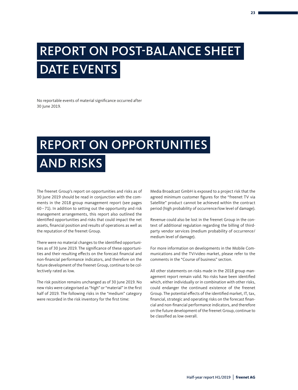# REPORT ON POST-BALANCE SHEET DATE EVENTS

No reportable events of material significance occurred after 30 June 2019.

# REPORT ON OPPORTUNITIES AND RISKS

The freenet Group's report on opportunities and risks as of 30 June 2019 should be read in conjunction with the comments in the 2018 group management report (see pages 60–71). In addition to setting out the opportunity and risk management arrangements, this report also outlined the identified opportunities and risks that could impact the net assets, financial position and results of operations as well as the reputation of the freenet Group.

There were no material changes to the identified opportunities as of 30 June 2019. The significance of these opportunities and their resulting effects on the forecast financial and non-financial performance indicators, and therefore on the future development of the freenet Group, continue to be collectively rated as low.

The risk position remains unchanged as of 30 June 2019. No new risks were categorised as "high" or "material" in the first half of 2019. The following risks in the "medium" category were recorded in the risk inventory for the first time:

Media Broadcast GmbH is exposed to a project risk that the agreed minimum customer figures for the "freenet TV via Satellite" product cannot be achieved within the contract period (high probability of occurrence/low level of damage).

Revenue could also be lost in the freenet Group in the context of additional regulation regarding the billing of thirdparty vendor services (medium probability of occurrence/ medium level of damage).

For more information on developments in the Mobile Communications and the TV/video market, please refer to the comments in the "Course of business" section.

All other statements on risks made in the 2018 group management report remain valid. No risks have been identified which, either individually or in combination with other risks, could endanger the continued existence of the freenet Group. The potential effects of the identified market, IT, tax, financial, strategic and operating risks on the forecast financial and non-financial performance indicators, and therefore on the future development of the freenet Group, continue to be classified as low overall.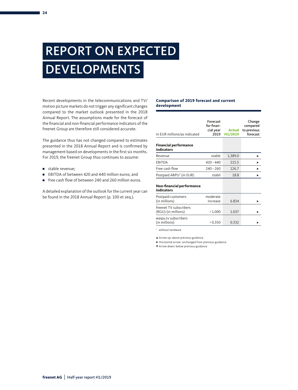# REPORT ON EXPECTED **DEVELOPMENTS**

Recent developments in the telecommunications and TV/ motion picture markets do not trigger any significant changes compared to the market outlook presented in the 2018 Annual Report. The assumptions made for the forecast of the financial and non-financial performance indicators of the freenet Group are therefore still considered accurate.

The guidance thus has not changed compared to estimates presented in the 2018 Annual Report and is confirmed by management based on developments in the first six months. For 2019, the freenet Group thus continues to assume:

- stable revenue:
- EBITDA of between 420 and 440 million euros: and
- free cash flow of between 240 and 260 million euros.

A detailed explanation of the outlook for the current year can be found in the 2018 Annual Report (p. 100 et seq.).

#### **Comparison of 2019 forecast and current development**

| In EUR millions/as indicated                          | Forecast<br>for finan-<br>cial year<br>2019 | <b>Actual</b><br>H1/2019 | Change<br>compared<br>to previous<br>forecast |
|-------------------------------------------------------|---------------------------------------------|--------------------------|-----------------------------------------------|
| <b>Financial performance</b><br><b>indicators</b>     |                                             |                          |                                               |
| Revenue                                               | stable                                      | 1,389.0                  |                                               |
| <b>EBITDA</b>                                         | $420 - 440$                                 | 215.5                    |                                               |
| Free cash flow                                        | $240 - 260$                                 | 126.7                    |                                               |
| Postpaid ARPU <sup>1</sup> (in EUR)                   | stabil                                      | 18.8                     |                                               |
| <b>Non-financial performance</b><br><b>indicators</b> |                                             |                          |                                               |
| Postpaid customers<br>(in millions)                   | moderate<br>increase                        | 6.834                    |                                               |
| freenet TV subscribers<br>(RGU) (in millions)         | >1.000                                      | 1.037                    |                                               |
| waipu.tv subscribers                                  |                                             |                          |                                               |

 $(in \text{ millions})$  > 0.350 0.332 ►

1 without hardware

▲ Arrow up: above previous guidance

∑ Horizontal arrow: unchanged from previous guidance

 $\blacktriangledown$  Arrow down: below previous guidance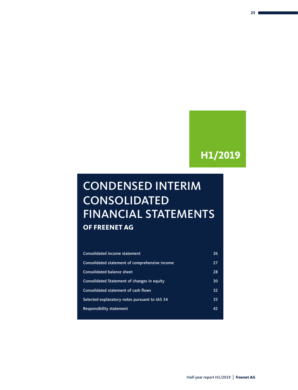### **H1/2019**

## CONDENSED INTERIM CONSOLIDATED FINANCIAL STATEMENTS **OF FREENET AG**

| Consolidated income statement                  | 26 |
|------------------------------------------------|----|
| Consolidated statement of comprehensive income | 27 |
| Consolidated balance sheet                     | 28 |
| Consolidated Statement of changes in equity    | 30 |
| Consolidated statement of cash flows           | 32 |
| Selected explanatory notes pursuant to IAS 34  | 33 |
| <b>Responsibility statement</b>                | 42 |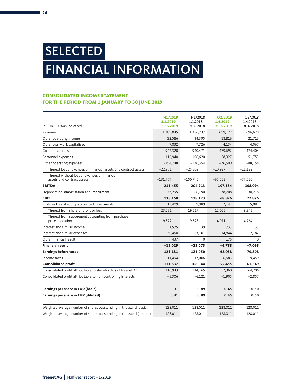# SELECTED FINANCIAL INFORMATION

### **CONSOLIDATED INCOME STATEMENT FOR THE PERIOD FROM 1 JANUARY TO 30 JUNE 2019**

|                                                                            | H1/2019                   | H1/2018                   | <b>Q2/2019</b>            | Q2/2018                   |
|----------------------------------------------------------------------------|---------------------------|---------------------------|---------------------------|---------------------------|
| In EUR '000s/as indicated                                                  | $1.1.2019 -$<br>30.6.2019 | $1.1.2018 -$<br>30.6.2018 | $1.4.2019 -$<br>30.6.2019 | $1.4.2018 -$<br>30.6.2018 |
| Revenue                                                                    | 1,389,045                 | 1,386,237                 | 699,122                   | 696,629                   |
| Other operating income                                                     | 32,586                    | 34,395                    | 18,816                    | 21,713                    |
| Other own work capitalised                                                 | 7,832                     | 7,726                     | 4,134                     | 4,067                     |
| Cost of materials                                                          | $-942,320$                | $-940,471$                | $-479,692$                | $-474,404$                |
| Personnel expenses                                                         | $-116,940$                | $-106,620$                | $-58,327$                 | $-51,753$                 |
| Other operating expenses                                                   | $-154,748$                | $-176,354$                | $-76,509$                 | $-88,158$                 |
| Thereof loss allowances on financial assets and contract assets            | $-22,971$                 | $-25,609$                 | $-10,987$                 | $-11,138$                 |
| Thereof without loss allowances on financial<br>assets and contract assets | $-131,777$                | $-150,745$                | $-65,522$                 | $-77,020$                 |
| <b>EBITDA</b>                                                              | 215,455                   | 204,913                   | 107,534                   | 108,094                   |
| Depreciation, amortisation and impairment                                  | $-77,295$                 | $-66,790$                 | $-38,708$                 | $-30,218$                 |
| <b>EBIT</b>                                                                | 138,160                   | 138,123                   | 68,826                    | 77,876                    |
| Profit or loss of equity-accounted investments                             | 13,409                    | 9,989                     | 7,144                     | 5,081                     |
| Thereof from share of profit or loss                                       | 23,231                    | 19,517                    | 12,055                    | 9,845                     |
| Thereof from subsequent accounting from purchase<br>price allocation       | $-9,822$                  | $-9,528$                  | $-4,911$                  | $-4,764$                  |
| Interest and similar income                                                | 1,575                     | 39                        | 737                       | 33                        |
| Interest and similar expenses                                              | $-30,450$                 | $-23,101$                 | $-14,844$                 | $-12,182$                 |
| Other financial result                                                     | 437                       | $\Omega$                  | 175                       | $\Omega$                  |
| <b>Financial result</b>                                                    | $-15,029$                 | $-13,073$                 | $-6,788$                  | $-7,068$                  |
| <b>Earnings before taxes</b>                                               | 123,131                   | 125,050                   | 62,038                    | 70,808                    |
| Income taxes                                                               | $-11,494$                 | $-17,006$                 | $-6,583$                  | $-9,459$                  |
| <b>Consolidated profit</b>                                                 | 111,637                   | 108,044                   | 55,455                    | 61,349                    |
| Consolidated profit attributable to shareholders of freenet AG             | 116,943                   | 114,165                   | 57,360                    | 64,206                    |
| Consolidated profit attributable to non-controlling interests              | $-5,306$                  | $-6,121$                  | $-1,905$                  | $-2,857$                  |
|                                                                            |                           |                           |                           |                           |
| Earnings per share in EUR (basic)                                          | 0.91                      | 0.89                      | 0.45                      | 0.50                      |
| Earnings per share in EUR (diluted)                                        | 0.91                      | 0.89                      | 0.45                      | 0.50                      |
| Weighted average number of shares outstanding in thousand (basic)          | 128,011                   | 128,011                   | 128,011                   | 128,011                   |
| Weighted average number of shares outstanding in thousand (diluted)        | 128,011                   | 128,011                   | 128,011                   | 128,011                   |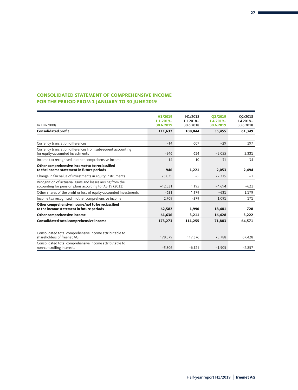### **CONSOLIDATED STATEMENT OF COMPREHENSIVE INCOME FOR THE PERIOD FROM 1 JANUARY TO 30 JUNE 2019**

|                                                                                                                       | H1/2019<br>$1.1.2019 -$ | H1/2018<br>$1.1.2018 -$ | O2/2019<br>$1.4.2019 -$ | O2/2018<br>$1.4.2018 -$ |
|-----------------------------------------------------------------------------------------------------------------------|-------------------------|-------------------------|-------------------------|-------------------------|
| In EUR '000s                                                                                                          | 30.6.2019               | 30.6.2018               | 30.6.2019               | 30.6.2018               |
| <b>Consolidated profit</b>                                                                                            | 111,637                 | 108,044                 | 55,455                  | 61,349                  |
|                                                                                                                       |                         |                         |                         |                         |
| Currency translation differences                                                                                      | $-14$                   | 607                     | $-29$                   | 197                     |
| Currency translation differences from subsequent accounting<br>for equity-accounted investments                       | $-946$                  | 624                     | $-2,055$                | 2,331                   |
| Income tax recognised in other comprehensive income                                                                   | 14                      | $-10$                   | 31                      | $-34$                   |
| Other comprehensive income/to be reclassified<br>to the income statement in future periods                            | $-946$                  | 1,221                   | $-2,053$                | 2,494                   |
| Change in fair value of investments in equity instruments                                                             | 73,035                  | $-5$                    | 22,715                  | $-1$                    |
| Recognition of actuarial gains and losses arising from the<br>accounting for pension plans according to IAS 19 (2011) | $-12.531$               | 1,195                   | $-4.694$                | $-621$                  |
| Other shares of the profit or loss of equity-accounted investments                                                    | $-631$                  | 1,179                   | $-631$                  | 1,179                   |
| Income tax recognised in other comprehensive income                                                                   | 2,709                   | $-379$                  | 1,091                   | 171                     |
| Other comprehensive income/not to be reclassified<br>to the income statement in future periods                        | 62.582                  | 1.990                   | 18,481                  | 728                     |
| Other comprehensive income                                                                                            | 61,636                  | 3,211                   | 16,428                  | 3,222                   |
| Consolidated total comprehensive income                                                                               | 173,273                 | 111,255                 | 71,883                  | 64,571                  |
|                                                                                                                       |                         |                         |                         |                         |
| Consolidated total comprehensive income attributable to<br>shareholders of freenet AG                                 | 178,579                 | 117,376                 | 73,788                  | 67,428                  |
| Consolidated total comprehensive income attributable to<br>non-controlling interests                                  | $-5,306$                | $-6,121$                | $-1,905$                | $-2,857$                |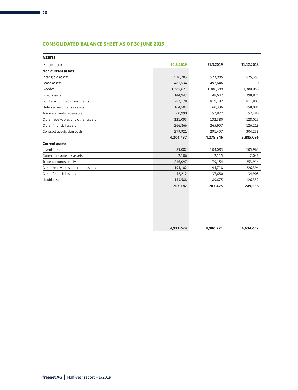### **CONSOLIDATED BALANCE SHEET AS OF 30 JUNE 2019**

| <b>ASSETS</b>                      |           |           |            |
|------------------------------------|-----------|-----------|------------|
| In EUR '000s                       | 30.6.2019 | 31.3.2019 | 31.12.2018 |
| <b>Non-current assets</b>          |           |           |            |
| Intangible assets                  | 516,783   | 523,985   | 525,355    |
| Lease assets                       | 481,534   | 492,646   | 0          |
| Goodwill                           | 1,385,621 | 1,386,389 | 1,380,056  |
| Fixed assets                       | 144,947   | 148,642   | 398,824    |
| Equity-accounted investments       | 782,178   | 819,182   | 811,808    |
| Deferred income tax assets         | 164,504   | 160,336   | 158,094    |
| Trade accounts receivable          | 60,990    | 57,872    | 52,480     |
| Other receivables and other assets | 121,093   | 132,380   | 128,023    |
| Other financial assets             | 266,866   | 265,957   | 126,218    |
| Contract acquisition costs         | 279,921   | 291,457   | 304,238    |
|                                    | 4,204,437 | 4,278,846 | 3,885,096  |
| <b>Current assets</b>              |           |           |            |
| Inventories                        | 89,082    | 104,083   | 105,965    |
| Current income tax assets          | 2,106     | 2,115     | 2,046      |
| Trade accounts receivable          | 216,097   | 179,154   | 253,914    |
| Other receivables and other assets | 194,102   | 194,718   | 226,394    |
| Other financial assets             | 52,212    | 37,680    | 34,905     |
| Liquid assets                      | 153,588   | 189,675   | 126,332    |
|                                    | 707,187   | 707,425   | 749,556    |
|                                    |           |           |            |
|                                    |           |           |            |
|                                    |           |           |            |

| 4,911,624 | 4,986,271<br>. | ,634,652 |
|-----------|----------------|----------|
|           |                |          |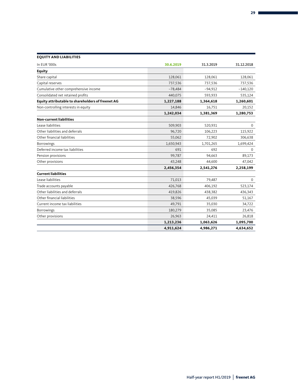| <b>EQUITY AND LIABILITIES</b>                     |           |           |             |
|---------------------------------------------------|-----------|-----------|-------------|
| In EUR '000s                                      | 30.6.2019 | 31.3.2019 | 31.12.2018  |
| <b>Equity</b>                                     |           |           |             |
| Share capital                                     | 128,061   | 128,061   | 128,061     |
| Capital reserves                                  | 737,536   | 737,536   | 737,536     |
| Cumulative other comprehensive income             | $-78,484$ | $-94,912$ | $-140,120$  |
| Consolidated net retained profits                 | 440,075   | 593,933   | 535,124     |
| Equity attributable to shareholders of freenet AG | 1,227,188 | 1,364,618 | 1,260,601   |
| Non-controlling interests in equity               | 14,846    | 16,751    | 20,152      |
|                                                   | 1,242,034 | 1,381,369 | 1,280,753   |
| <b>Non-current liabilities</b>                    |           |           |             |
| Lease liabilities                                 | 509,903   | 520,931   | $\mathbf 0$ |
| Other liabilities and deferrals                   | 96,720    | 106,223   | 115,922     |
| Other financial liabilities                       | 55,062    | 72,902    | 306,638     |
| Borrowings                                        | 1,650,943 | 1,701,265 | 1,699,424   |
| Deferred income tax liabilities                   | 691       | 692       | $\Omega$    |
| Pension provisions                                | 99,787    | 94,663    | 89,173      |
| Other provisions                                  | 43,248    | 44,600    | 47,042      |
|                                                   | 2,456,354 | 2,541,276 | 2,258,199   |
| <b>Current liabilities</b>                        |           |           |             |
| Lease liabilities                                 | 71,013    | 79,487    | $\mathbf 0$ |
| Trade accounts payable                            | 426,768   | 406,192   | 523,174     |
| Other liabilities and deferrals                   | 419,826   | 438,382   | 436,343     |
| Other financial liabilities                       | 38,596    | 45,039    | 51,167      |
| Current income tax liabilities                    | 49,791    | 35,030    | 34,722      |
| <b>Borrowings</b>                                 | 180,279   | 35,085    | 23,476      |
| Other provisions                                  | 26,963    | 24,411    | 26,818      |
|                                                   | 1,213,236 | 1,063,626 | 1,095,700   |
|                                                   | 4,911,624 | 4,986,271 | 4,634,652   |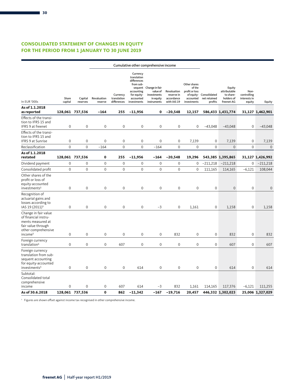### **CONSOLIDATED STATEMENT OF CHANGES IN EQUITY FOR THE PERIOD FROM 1 JANUARY TO 30 JUNE 2019**

| Share<br>In EUR '000s<br>capital<br>As of 1.1.2018<br>as reported<br>Effects of the transi-<br>tion to IFRS 15 and<br>IFRS 9 at freenet<br>Effects of the transi-<br>tion to IFRS 15 and<br><b>IFRS 9 at Sunrise</b> | Capital<br>reserves<br>128,061 737,536<br>$\boldsymbol{0}$<br>$\mathbf 0$<br>$\mathbf 0$ | Revaluation<br>reserve<br>$-164$<br>$\mathsf{O}\xspace$<br>$\boldsymbol{0}$ | Currency<br>translation<br>differences<br>255<br>$\mathbf 0$ | Currency<br>translation<br>differences<br>from sub-<br>accounting<br>for equity-<br>accounted<br>investments<br>$-11,956$ | sequent Change in fair<br>value of<br>investments<br>in equity<br>instruments<br>0 | Revaluation<br>reserve in<br>accordance<br>with IAS 19 | Other shares<br>of the<br>profit or loss<br>of equity-<br>accounted<br>investments | Consolidated<br>net retained<br>profits | Equity<br>attributable<br>to share-<br>holders of<br>freenet AG | Non-<br>controlling<br>interests in<br>equity |                  |
|----------------------------------------------------------------------------------------------------------------------------------------------------------------------------------------------------------------------|------------------------------------------------------------------------------------------|-----------------------------------------------------------------------------|--------------------------------------------------------------|---------------------------------------------------------------------------------------------------------------------------|------------------------------------------------------------------------------------|--------------------------------------------------------|------------------------------------------------------------------------------------|-----------------------------------------|-----------------------------------------------------------------|-----------------------------------------------|------------------|
|                                                                                                                                                                                                                      |                                                                                          |                                                                             |                                                              |                                                                                                                           |                                                                                    |                                                        |                                                                                    |                                         |                                                                 |                                               | Equity           |
|                                                                                                                                                                                                                      |                                                                                          |                                                                             |                                                              |                                                                                                                           |                                                                                    |                                                        |                                                                                    |                                         |                                                                 |                                               |                  |
|                                                                                                                                                                                                                      |                                                                                          |                                                                             |                                                              |                                                                                                                           |                                                                                    | $-20,548$                                              | 12,157                                                                             |                                         | 586,433 1,431,774                                               |                                               | 31,127 1,462,901 |
|                                                                                                                                                                                                                      |                                                                                          |                                                                             |                                                              | $\mathbf 0$                                                                                                               | $\boldsymbol{0}$                                                                   | $\mathbf 0$                                            | $\mathbf 0$                                                                        | $-43,048$                               | $-43,048$                                                       | $\mathsf{O}\xspace$                           | $-43,048$        |
|                                                                                                                                                                                                                      |                                                                                          | $\mathbf 0$<br>$\mathbf 0$                                                  | $\mathbf 0$                                                  | $\mathbf 0$                                                                                                               | $\mathbf 0$                                                                        | $\mathbf 0$                                            | 7,139                                                                              | $\mathbf 0$                             | 7,139                                                           | 0                                             | 7,139            |
| Reclassification                                                                                                                                                                                                     |                                                                                          | $\Omega$<br>$-164$                                                          | $\Omega$                                                     | $\Omega$                                                                                                                  | $-164$                                                                             | $\Omega$                                               | $\mathbf 0$                                                                        | $\Omega$                                | $\Omega$                                                        | $\mathbf 0$                                   | $\mathbf{0}$     |
| As of 1.1.2018<br>restated                                                                                                                                                                                           | 128,061 737,536                                                                          | $\pmb{0}$                                                                   | 255                                                          | $-11,956$                                                                                                                 | $-164$                                                                             | $-20,548$                                              | 19,296                                                                             |                                         | 543,385 1,395,865                                               |                                               | 31,127 1,426,992 |
| Dividend payment                                                                                                                                                                                                     | $\mathsf{O}\xspace$                                                                      | $\mathbf 0$<br>$\mathbf 0$                                                  | $\mathsf{O}\xspace$                                          | $\mathbf 0$                                                                                                               | $\mathbf 0$                                                                        | $\mathsf{O}\xspace$                                    | $\mathbf 0$                                                                        | $-211,218$                              | $-211,218$                                                      | 0                                             | $-211,218$       |
| Consolidated profit                                                                                                                                                                                                  | $\mathbf 0$                                                                              | $\mathbf 0$<br>$\mathbf 0$                                                  | $\mathbf{0}$                                                 | $\Omega$                                                                                                                  | $\mathbf 0$                                                                        | $\mathbf 0$                                            | $\mathbf 0$                                                                        | 111,165                                 | 114,165                                                         | $-6,121$                                      | 108,044          |
| Other shares of the<br>profit or loss of<br>equity-accounted<br>investments <sup>1</sup>                                                                                                                             | $\boldsymbol{0}$                                                                         | $\mathbf 0$<br>$\mathbf{0}$                                                 | $\mathbf 0$                                                  | $\mathbf{0}$                                                                                                              | $\mathbf{0}$                                                                       | $\mathbf 0$                                            | $\mathbf 0$                                                                        | $\mathbf 0$                             | $\mathbf{0}$                                                    | $\mathbf 0$                                   | $\mathbf{0}$     |
| Recognition of<br>actuarial gains and<br>losses according to<br>IAS 19 (2011) <sup>1</sup>                                                                                                                           | $\boldsymbol{0}$                                                                         | $\boldsymbol{0}$<br>0                                                       | $\mathbf 0$                                                  | $\mathbf 0$                                                                                                               | $-3$                                                                               | 0                                                      | 1,161                                                                              | $\mathbf 0$                             | 1,158                                                           | 0                                             | 1,158            |
| Change in fair value<br>of financial instru-<br>ments measured at<br>fair value through<br>other comprehensive<br>income <sup>1</sup>                                                                                | $\mathbf 0$                                                                              | $\mathbf 0$<br>$\mathbf 0$                                                  | $\mathbf 0$                                                  | $\Omega$                                                                                                                  | $\mathbf 0$                                                                        | 832                                                    | 0                                                                                  | $\mathbf{0}$                            | 832                                                             | $\mathbf 0$                                   | 832              |
| Foreign currency<br>translation <sup>1</sup>                                                                                                                                                                         | $\boldsymbol{0}$                                                                         | $\mathbf 0$<br>$\mathsf{O}\xspace$                                          | 607                                                          | $\mathbf 0$                                                                                                               | $\boldsymbol{0}$                                                                   | 0                                                      | 0                                                                                  | $\mathbf 0$                             | 607                                                             | 0                                             | 607              |
| Foreign currency<br>translation from sub-<br>sequent accounting<br>for equity-accounted<br>investments <sup>1</sup>                                                                                                  | $\mathbf 0$                                                                              | $\mathbf 0$<br>$\boldsymbol{0}$                                             | $\mathbf 0$                                                  | 614                                                                                                                       | $\boldsymbol{0}$                                                                   | $\mathbf 0$                                            | $\mathbf 0$                                                                        | $\mathbf 0$                             | 614                                                             | $\mathsf 0$                                   | 614              |
| Subtotal:<br>Consolidated total<br>comprehensive<br>$\mathbf 0$<br>income<br>As of 30.6.2018<br>128,061 737,536                                                                                                      |                                                                                          | $\mathbf 0$<br>0                                                            | 607                                                          | 614                                                                                                                       | $-3$                                                                               |                                                        |                                                                                    |                                         |                                                                 |                                               |                  |

1 Figures are shown offset against income tax recognised in other comprehensive income.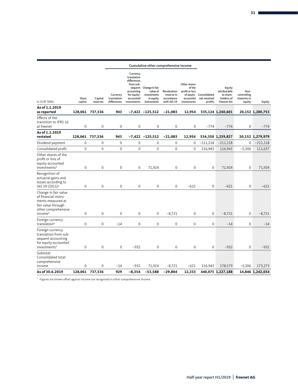|                                                                                                                                       |                  |                     |                                        |                                                                                                              | Cumulative other comprehensive income                                         |                                                        |                                                                                    |                                         |                                                                 |                                               |                  |
|---------------------------------------------------------------------------------------------------------------------------------------|------------------|---------------------|----------------------------------------|--------------------------------------------------------------------------------------------------------------|-------------------------------------------------------------------------------|--------------------------------------------------------|------------------------------------------------------------------------------------|-----------------------------------------|-----------------------------------------------------------------|-----------------------------------------------|------------------|
| In EUR '000s                                                                                                                          | Share<br>capital | Capital<br>reserves | Currency<br>translation<br>differences | Currency<br>translation<br>differences<br>from sub-<br>accounting<br>for equity-<br>accounted<br>investments | sequent Change in fair<br>value of<br>investments<br>in equity<br>instruments | Revaluation<br>reserve in<br>accordance<br>with IAS 19 | Other shares<br>of the<br>profit or loss<br>of equity-<br>accounted<br>investments | Consolidated<br>net retained<br>profits | Equity<br>attributable<br>to share-<br>holders of<br>freenet AG | Non-<br>controlling<br>interests in<br>equity | Equity           |
| As of 1.1.2019<br>as reported                                                                                                         |                  | 128,061 737,536     | 943                                    |                                                                                                              | $-7,422 -125,512$                                                             | $-21,083$                                              | 12,954                                                                             |                                         | 535,124 1,260,601                                               |                                               | 20,152 1,280,753 |
| Effects of the<br>transition to IFRS 16<br>at freenet                                                                                 | $\mathbf{0}$     | 0                   | $\mathbf 0$                            | $\mathbf 0$                                                                                                  | 0                                                                             | $\mathbf 0$                                            | 0                                                                                  | $-774$                                  | $-774$                                                          | $\mathbf 0$                                   | $-774$           |
| As of 1.1.2019<br>restated                                                                                                            |                  | 128,061 737,536     | 943                                    |                                                                                                              | $-7,422$ $-125,512$                                                           | $-21,083$                                              | 12,954                                                                             |                                         | 534,350 1,259,827                                               |                                               | 20,152 1,279,979 |
| Dividend payment                                                                                                                      | $\mathbf{0}$     | $\mathbf 0$         | $\mathbf 0$                            | $\mathbf 0$                                                                                                  | $\mathbf 0$                                                                   | $\mathbf{0}$                                           | $\mathbf 0$                                                                        | $-211,218$                              | $-211,218$                                                      | $\mathbf{0}$                                  | $-211,218$       |
| Consolidated profit                                                                                                                   | $\mathbf{0}$     | 0                   | 0                                      | $\mathbf 0$                                                                                                  | 0                                                                             | $\mathbf 0$                                            | 0                                                                                  | 116,943                                 | 116,943                                                         | $-5,306$                                      | 111,637          |
| Other shares of the<br>profit or loss of<br>equity-accounted<br>investments <sup>1</sup>                                              | $\mathbf 0$      | 0                   | $\mathbf 0$                            | 0                                                                                                            | 71,924                                                                        | $\mathbf 0$                                            | $\mathbf 0$                                                                        | $\mathbf 0$                             | 71,924                                                          | $\mathbf 0$                                   | 71,924           |
| Recognition of<br>actuarial gains and<br>losses according to<br>IAS 19 (2011) <sup>1</sup>                                            | $\mathbf 0$      | 0                   | $\mathbf 0$                            | $\mathbf 0$                                                                                                  | $\mathbf 0$                                                                   | $\mathbf{0}$                                           | $-621$                                                                             | $\mathbf 0$                             | $-621$                                                          | $\mathbf 0$                                   | $-621$           |
| Change in fair value<br>of financial instru-<br>ments measured at<br>fair value through<br>other comprehensive<br>income <sup>1</sup> | $\mathbf 0$      | 0                   | $\mathbf 0$                            | $\mathbf 0$                                                                                                  | $\mathbf 0$                                                                   | $-8,721$                                               | $\mathbf 0$                                                                        | $\mathbf 0$                             | $-8,721$                                                        | $\mathbf 0$                                   | $-8,721$         |
| Foreign currency<br>translation <sup>1</sup>                                                                                          | $\mathbf 0$      | 0                   | $-14$                                  | 0                                                                                                            | $\mathbf 0$                                                                   | $\mathbf 0$                                            | $\mathbf 0$                                                                        | $\mathbf 0$                             | $-14$                                                           | $\mathbf 0$                                   | $-14$            |
| Foreign currency<br>translation from sub-<br>sequent accounting<br>for equity-accounted<br>investments <sup>1</sup>                   | $\mathbf 0$      | 0                   | $\mathbf 0$                            | $-932$                                                                                                       | $\mathbf{0}$                                                                  | $\mathbf{0}$                                           | $\mathbf 0$                                                                        | $\mathbf 0$                             | $-932$                                                          | $\mathbf{0}$                                  | $-932$           |
| Subtotal:<br>Consolidated total<br>comprehensive<br>income                                                                            | $\mathbf 0$      | 0                   | $-14$                                  | $-932$                                                                                                       | 71,924                                                                        | $-8,721$                                               | $-621$                                                                             | 116,943                                 | 178,579                                                         | $-5,306$                                      | 173,273          |
| As of 30.6.2019                                                                                                                       |                  | 128,061 737,536     | 929                                    | $-8,354$                                                                                                     | $-53,588$                                                                     | $-29,804$                                              | 12,333                                                                             |                                         | 440,075 1,227,188                                               |                                               | 14,846 1,242,034 |

1 Figures are shown offset against income tax recognised in other comprehensive income.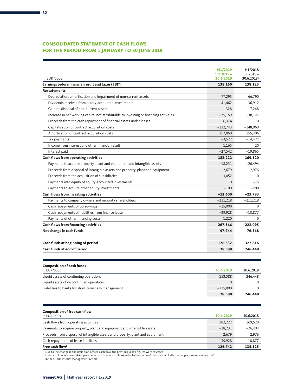### **CONSOLIDATED STATEMENT OF CASH FLOWS FOR THE PERIOD FROM 1 JANUARY TO 30 JUNE 2019**

| In EUR '000s                                                                          | H1/2019<br>$1.1.2019 -$<br>30.6.2019 | H1/2018<br>$1.1.2018 -$<br>30.6.20181 |
|---------------------------------------------------------------------------------------|--------------------------------------|---------------------------------------|
| Earnings before financial result and taxes (EBIT)                                     | 138,160                              | 138,123                               |
| <b>Restatements</b>                                                                   |                                      |                                       |
| Depreciation, amortisation and impairment of non-current assets                       | 77,295                               | 66,790                                |
| Dividends received from equity-accounted investments                                  | 41,462                               | 36,912                                |
| Gain on disposal of non-current assets                                                | $-328$                               | $-7,248$                              |
| Increase in net working capital not attributable to investing or financing activities | $-75,159$                            | $-38,127$                             |
| Proceeds from the cash repayment of financial assets under leases                     | 6,374                                | $\Omega$                              |
| Capitalisation of contract acquisition costs                                          | $-132,743$                           | $-148,069$                            |
| Amortisation of contract acquisition costs                                            | 157,060                              | 155,406                               |
| Tax payments                                                                          | $-3,522$                             | $-14,422$                             |
| Income from interest and other financial result                                       | 1,165                                | 20                                    |
| Interest paid                                                                         | $-27,542$                            | $-19,865$                             |
| <b>Cash flows from operating activities</b>                                           | 182,222                              | 169,520                               |
| Payments to acquire property, plant and equipment and intangible assets               | $-18,231$                            | $-26,494$                             |
| Proceeds from disposal of intangible assets and property, plant and equipment         | 2,679                                | 2,976                                 |
| Proceeds from the acquisition of subsidiaries                                         | 3,052                                | $\Omega$                              |
| Payments into equity of equity-accounted investments                                  | $\Omega$                             | $-75$                                 |
| Payments to acquire other equity investments                                          | $-100$                               | -200                                  |
| Cash flows from investing activities                                                  | $-12,600$                            | -23,793                               |
| Payments to company owners and minority shareholders                                  | $-211,218$                           | $-211,218$                            |
| Cash repayments of borrowings                                                         | $-15,000$                            | $\Omega$                              |
| Cash repayments of liabilities from finance lease                                     | $-39,928$                            | $-10,877$                             |
| Payments of other financing costs                                                     | 1,220                                | $\Omega$                              |
| <b>Cash flows from financing activities</b>                                           | $-267,366$                           | $-222,095$                            |
| Net change in cash funds                                                              | $-97,744$                            | -76,368                               |
| Cash funds at beginning of period                                                     | 126,332                              | 322,816                               |
| Cash funds at end of period                                                           | 28,588                               | 246,448                               |
| <b>Composition of cash funds</b>                                                      |                                      |                                       |
| In EUR '000s                                                                          | 30.6.2019                            | 30.6.2018                             |
| Liquid assets of continuing operations                                                | 153,588                              | 246,448                               |
| Liquid assets of discontinued operations                                              | 0                                    | 0                                     |
| Liabilities to banks for short-term cash management                                   | $-125,000$                           | $\mathbf 0$                           |
|                                                                                       | 28,588                               | 246,448                               |
| <b>Composition of free cash flow</b><br>In EUR '000s                                  | 30.6.2019                            | 30.6.2018                             |
| Cash flows from operating activities                                                  | 182,222                              | 169,520                               |
| Payments to acquire property, plant and equipment and intangible assets               | $-18,231$                            | $-26,494$                             |
| Proceeds from disposal of intangible assets and property, plant and equipment         | 2,679                                | 2,976                                 |

1 Due to the change in the definition of free cash flow, the previous year's figures were restated.<br>ª Free cash flow is a non-GAAP parameter. In this context please refer to the section "Calculation of alternative performa

Cash repayments of lease liabilities –39,928 –10,877 **Free cash flow2 126,742 135,125**

in the Group interim management report.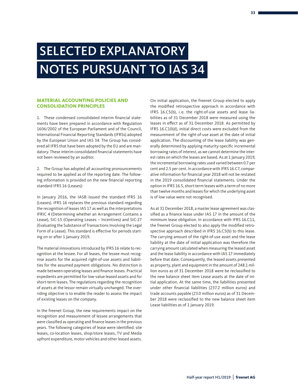# SELECTED EXPLANATORY NOTES PURSUANT TO IAS 34

#### **MATERIAL ACCOUNTING POLICIES AND CONSOLIDATION PRINCIPLES**

1. These condensed consolidated interim financial statements have been prepared in accordance with Regulation 1606/2002 of the European Parliament and of the Council, International Financial Reporting Standards (IFRSs) adopted by the European Union and IAS 34. The Group has considered all IFRS that have been adopted by the EU and are mandatory. These interim consolidated financial statements have not been reviewed by an auditor.

2. The Group has adopted all accounting pronouncements required to be applied as of the reporting date. The following information is provided on the new financial reporting standard IFRS 16 (Leases):

In January 2016, the IASB issued the standard IFRS 16 (Leases). IFRS 16 replaces the previous standard regarding the recognition of leases IAS 17 as well as the interpretations IFRIC 4 (Determining whether an Arrangement Contains a Lease), SIC-15 (Operating Leases – Incentives) and SIC-27 (Evaluating the Substance of Transactions Involving the Legal Form of a Lease). This standard is effective for periods starting on or after 1 January 2019.

The material innovations introduced by IFRS 16 relate to recognition at the lessee. For all leases, the lessee must recognise assets for the acquired right-of-use assets and liabilities for the assumed payment obligations. No distinction is made between operating leases and finance leases. Practical expedients are permitted for low-value leased assets and for short-term leases. The regulations regarding the recognition of assets at the lessor remain virtually unchanged. The overriding objective is to enable the reader to assess the impact of existing leases on the company.

In the freenet Group, the new requirements impact on the recognition and measurement of lessee arrangements that were classified as operating and finance leases in the previous years. The following categories of lease were identified: site leases, co-location leases, shop/store leases, TV and Media upfront expenditure, motor vehicles and other leased assets.

On initial application, the freenet Group elected to apply the modified retrospective approach in accordance with IFRS 16.C5(b), i. e. the right-of-use assets and lease liabilities as of 31 December 2018 were measured using the leases in effect as of 31 December 2018. As permitted by IFRS 16.C10(d), initial direct costs were excluded from the measurement of the right-of-use asset at the date of initial application. The discounting of the lease liability was generally determined by applying maturity-specific incremental borrowing rates of interest, as we cannot determine the interest rates on which the leases are based. As at 1 January 2019, the incremental borrowing rates used varied between 0.7 per cent and 2.5 per cent. In accordance with IFRS 16.C7, comparative information for financial year 2018 will not be restated in the 2019 consolidated financial statements. Under the option in IFRS 16.5, short-term leases with a term of no more than twelve months and leases for which the underlying asset is of low value were not recognised.

As at 31 December 2018, a master lease agreement was classified as a finance lease under IAS 17 in the amount of the minimum lease obligation. In accordance with IFRS 16.C11, the freenet Group elected to also apply the modified retrospective approach described in IFRS 16.C5(b) to this lease. The carrying amount of the right-of-use asset and the lease liability at the date of initial application was therefore the carrying amount calculated when measuring the leased asset and the lease liability in accordance with IAS 17 immediately before that date. Consequently, the leased assets presented as property, plant and equipment in the amount of 248.1 million euros as of 31 December 2018 were be reclassified to the new balance sheet item Lease assets at the date of initial application. At the same time, the liabilities presented under other financial liabilities (237.2 million euros) and trade accounts payable (23.0 million euros) as of 31 December 2018 were reclassified to the new balance sheet item Lease liabilities as of 1 January 2019.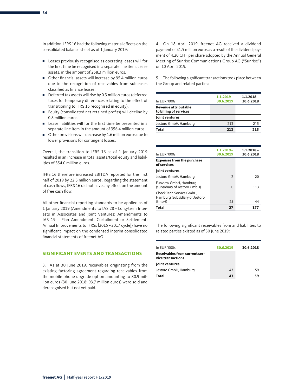In addition, IFRS 16 had the following material effects on the consolidated balance sheet as of 1 January 2019:

- Leases previously recognised as operating leases will for the first time be recognised in a separate line item, Lease assets, in the amount of 258.3 million euros.
- Other financial assets will increase by 95.4 million euros due to the recognition of receivables from subleases classified as finance leases.
- Deferred tax assets will rise by 0.3 million euros (deferred taxes for temporary differences relating to the effect of transitioning to IFRS 16 recognised in equity).
- Equity (consolidated net retained profits) will decline by 0.8 million euros.
- Lease liabilities will for the first time be presented in a separate line item in the amount of 356.4 million euros.
- Other provisions will decrease by 1.6 million euros due to lower provisions for contingent losses.

Overall, the transition to IFRS 16 as of 1 January 2019 resulted in an increase in total assets/total equity and liabilities of 354.0 million euros.

IFRS 16 therefore increased EBITDA reported for the first half of 2019 by 22.3 million euros. Regarding the statement of cash flows, IFRS 16 did not have any effect on the amount of free cash flow.

All other financial reporting standards to be applied as of 1 January 2019 (Amendments to IAS 28 – Long-term Interests in Associates and Joint Ventures; Amendments to IAS 19 – Plan Amendment, Curtailment or Settlement; Annual Improvements to IFRSs [2015–2017 cycle]) have no significant impact on the condensed interim consolidated financial statements of freenet AG.

#### **SIGNIFICANT EVENTS AND TRANSACTIONS**

3. As at 30 June 2019, receivables originating from the existing factoring agreement regarding receivables from the mobile phone upgrade option amounting to 80.9 million euros (30 June 2018: 93.7 million euros) were sold and derecognised but not yet paid.

4. On 18 April 2019, freenet AG received a dividend payment of 41.5 million euros as a result of the dividend payment of 4.20 CHF per share adopted by the Annual General Meeting of Sunrise Communications Group AG ("Sunrise") on 10 April 2019.

5. The following significant transactions took place between the Group and related parties:

| $1.1.2019 -$<br>30.6.2019 | $1.1.2018 -$<br>30.6.2018 |
|---------------------------|---------------------------|
|                           |                           |
|                           |                           |
| 213                       | 215                       |
| 213                       | 215                       |
|                           |                           |

| In EUR '000s                                               | $1.1.2019 -$<br>30.6.2019 | $1.1.2018 -$<br>30.6.2018 |
|------------------------------------------------------------|---------------------------|---------------------------|
| <b>Expenses from the purchase</b><br>of services           |                           |                           |
| Joint ventures                                             |                           |                           |
| Jestoro GmbH, Hamburg                                      | $\overline{2}$            | 20                        |
| Funview GmbH, Hamburg<br>(subsidiary of Jestoro GmbH)      | $\Omega$                  | 113                       |
| Check Tech Service GmbH,<br>Hamburg (subsidiary of Jestoro |                           |                           |
| GmbH)                                                      | 25                        | 44                        |
| Total                                                      | 27                        |                           |

The following significant receivables from and liabilities to related parties existed as of 30 June 2019:

| In EUR '000s                                       | 30.6.2019 | 30.6.2018 |
|----------------------------------------------------|-----------|-----------|
| Receivables from current ser-<br>vice transactions |           |           |
| Joint ventures                                     |           |           |
| Jestoro GmbH, Hamburg                              | 43        | 59        |
| Total                                              | 43        | 59        |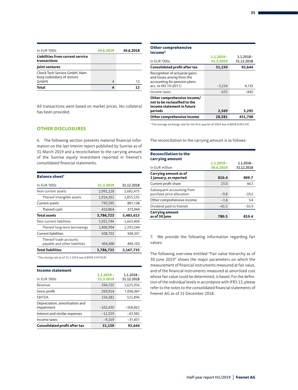| In EUR '000s                                                 | 30.6.2019                | 30.6.2018 |
|--------------------------------------------------------------|--------------------------|-----------|
| Liabilities from current service<br>transactions             |                          |           |
| Joint ventures                                               |                          |           |
| Check Tech Service GmbH, Ham-<br>burg (subsidiary of Jestoro |                          |           |
| GmbH)                                                        | $\overline{\mathcal{A}}$ | 12        |
| Total                                                        | Δ                        |           |

All transactions were based on market prices. No collateral has been provided.

#### **OTHER DISCLOSURES**

6. The following section presents material financial information on the last interim report published by Sunrise as of 31 March 2019 and a reconciliation to the carrying amount of the Sunrise equity investment reported in freenet's consolidated financial statements.

| <b>Balance sheet'</b>                                   |           |            |
|---------------------------------------------------------|-----------|------------|
| In EUR '000s                                            | 31.3.2019 | 31.12.2018 |
| Non-current assets                                      | 2,991,128 | 2,682,475  |
| Thereof intangible assets                               | 1,914,261 | 1,855,191  |
| Current assets                                          | 795,595   | 801,138    |
| Thereof cash                                            | 410,864   | 373,944    |
| <b>Total assets</b>                                     | 3,786,723 | 3,483,613  |
| Non-current liabilities                                 | 1,921,744 | 1,663,404  |
| Thereof long-term borrowings                            | 1,406,994 | 1,393,244  |
| <b>Current liabilities</b>                              | 508,702   | 504,331    |
| Thereof trade accounts<br>payable and other liabilities | 454,300   | 445,103    |
| <b>Total liabilities</b>                                | 3,786,723 | 2,167,735  |

1 The closing rate as of 31.3.2019 was 0.8958 CHF/EUR.

| <b>Income statement</b>              |              |              |
|--------------------------------------|--------------|--------------|
|                                      | $1.1.2019 -$ | $1.1.2018 -$ |
| In EUR '000s                         | 31.3.2019    | 31.12.2018   |
| Revenue                              | 394,725      | 1,625,956    |
| Gross profit                         | 269,914      | 1,056,367    |
| <b>EBITDA</b>                        | 154,281      | 521,896      |
| Depreciation, amortisation and       |              |              |
| impairment                           | $-102,430$   | $-368,862$   |
| Interest and similar expenses        | $-11,559$    | $-43,981$    |
| Income taxes                         | $-9,169$     | $-31,431$    |
| <b>Consolidated profit after tax</b> | 31,150       | 92.644       |

### **Other comprehensive**

| income <sup>2</sup>                                                                                                    |              |              |
|------------------------------------------------------------------------------------------------------------------------|--------------|--------------|
|                                                                                                                        | $1.1.2019 -$ | $1.1.2018 -$ |
| In EUR '000s                                                                                                           | 31.3.2019    | 31.12.2018   |
| <b>Consolidated profit after tax</b>                                                                                   | 31,150       | 92.644       |
| Recognition of actuarial gains<br>and losses arising from the<br>accounting for pension plans<br>acc. to IAS 19 (2011) | $-3,224$     | 4,135        |
|                                                                                                                        |              |              |
| Income taxes                                                                                                           | $-655$       | $-840$       |
| Other comprehensive income/<br>not to be reclassified to the<br>income statement in future<br>periods                  | 2,569        | 3,295        |
| Other comprehensive income                                                                                             | 28,581       | 451,708      |

2 The average exchange rate for the first quarter of 2019 was 0.8838 EUR/CHF.

The reconciliation to the carrying amount is as follows:

| <b>Reconciliation to the</b><br>carrying amount         |              |                            |
|---------------------------------------------------------|--------------|----------------------------|
| In EUR million                                          | $1.1.2019 -$ | $1.1.2018 -$<br>31.12.2018 |
|                                                         | 30.6.2019    |                            |
| Carrying amount as of<br>1 January, as reported         | 810.4        | 809.7                      |
| Current profit share                                    | 23.0         | 44.3                       |
| Subsequent accounting from<br>purchase price allocation | $-9.8$       | $-19.2$                    |
| Other comprehensive income                              | $-1.6$       | 5.4                        |
| Dividend paid to freenet                                | $-41.5$      | $-36.9$                    |
| <b>Carrying amount</b><br>as of 30 June                 | 780.5        | 810.4                      |

7. We provide the following information regarding fair values:

The following overview entitled "Fair value hierarchy as of 30 June 2019" shows the major parameters on which the measurement of financial instruments measured at fair value, and of the financial instruments measured at amortised cost whose fair value could be determined, is based. For the definition of the individual levels in accordance with IFRS 13, please refer to the notes to the consolidated financial statements of freenet AG as of 31 December 2018.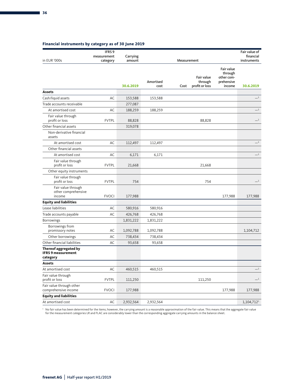### **Financial instruments by category as of 30 June 2019**

|                                                                | IFRS <sub>9</sub><br>measurement | Carrying  |                   |             |                                         |                                                             | Fair value of<br>financial |
|----------------------------------------------------------------|----------------------------------|-----------|-------------------|-------------|-----------------------------------------|-------------------------------------------------------------|----------------------------|
| in EUR '000s                                                   | category                         | amount    |                   | Measurement |                                         |                                                             | instruments                |
|                                                                |                                  | 30.6.2019 | Amortised<br>cost | Cost        | Fair value<br>through<br>profit or loss | Fair value<br>through<br>other com-<br>prehensive<br>income | 30.6.2019                  |
| <b>Assets</b>                                                  |                                  |           |                   |             |                                         |                                                             |                            |
| Cash/liquid assets                                             | AC                               | 153,588   | 153,588           |             |                                         |                                                             | $-1$                       |
| Trade accounts receivable                                      |                                  | 277,087   |                   |             |                                         |                                                             | $-1$                       |
| At amortised cost                                              | AC                               | 188,259   | 188,259           |             |                                         |                                                             |                            |
| Fair value through<br>profit or loss                           | <b>FVTPL</b>                     | 88,828    |                   |             | 88,828                                  |                                                             | $-1$                       |
| Other financial assets                                         |                                  | 319,078   |                   |             |                                         |                                                             |                            |
| Non-derivative financial<br>assets                             |                                  |           |                   |             |                                         |                                                             |                            |
| At amortised cost                                              | AC                               | 112,497   | 112,497           |             |                                         |                                                             | $-1$                       |
| Other financial assets                                         |                                  |           |                   |             |                                         |                                                             |                            |
| At amortised cost                                              | AC                               | 6,171     | 6,171             |             |                                         |                                                             | $-1$                       |
| Fair value through<br>profit or loss                           | <b>FVTPL</b>                     | 21,668    |                   |             | 21,668                                  |                                                             |                            |
| Other equity instruments                                       |                                  |           |                   |             |                                         |                                                             |                            |
| Fair value through<br>profit or loss                           | <b>FVTPL</b>                     | 754       |                   |             | 754                                     |                                                             | $_{-1}$                    |
| Fair value through<br>other comprehensive<br>income            | <b>FVOCI</b>                     | 177,988   |                   |             |                                         | 177,988                                                     | 177,988                    |
| <b>Equity and liabilities</b>                                  |                                  |           |                   |             |                                         |                                                             |                            |
| Lease liabilities                                              | AC                               | 580,916   | 580,916           |             |                                         |                                                             |                            |
| Trade accounts payable                                         | AC                               | 426,768   | 426,768           |             |                                         |                                                             |                            |
| Borrowings                                                     |                                  | 1,831,222 | 1,831,222         |             |                                         |                                                             |                            |
| Borrowings from<br>promissory notes                            | AC                               | 1,092,788 | 1,092,788         |             |                                         |                                                             | 1,104,712                  |
| Other borrowings                                               | AC                               | 738,434   | 738,434           |             |                                         |                                                             |                            |
| Other financial liabilities                                    | AC                               | 93,658    | 93,658            |             |                                         |                                                             |                            |
| Thereof aggregated by<br><b>IFRS 9 measurement</b><br>category |                                  |           |                   |             |                                         |                                                             |                            |
| <b>Assets</b>                                                  |                                  |           |                   |             |                                         |                                                             |                            |
| At amortised cost                                              | AC                               | 460,515   | 460,515           |             |                                         |                                                             | $-1$                       |
| Fair value through<br>profit or loss                           | <b>FVTPL</b>                     | 111,250   |                   |             | 111,250                                 |                                                             | $\overline{\phantom{0}}^1$ |
| Fair value through other<br>comprehensive income               | <b>FVOCI</b>                     | 177,988   |                   |             |                                         | 177,988                                                     | 177,988                    |
| <b>Equity and liabilities</b>                                  |                                  |           |                   |             |                                         |                                                             |                            |
| At amortised cost                                              | AC                               | 2,932,564 | 2,932,564         |             |                                         |                                                             | $1,104,712^1$              |

' No fair value has been determined for the items; however, the carrying amount is a reasonable approximation of the fair value. This means that the aggregate fair value<br>for the measurement categories LR and FLAC are cons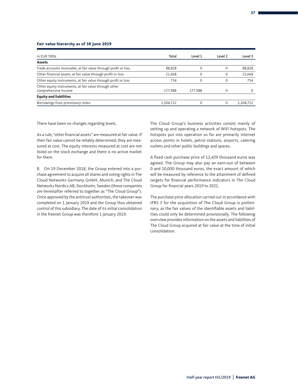#### **Fair value hierarchy as of 30 June 2019**

| in EUR '000s                                                                  | Total     | Level 1 | Level 2  | Level 3   |
|-------------------------------------------------------------------------------|-----------|---------|----------|-----------|
| <b>Assets</b>                                                                 |           |         |          |           |
| Trade accounts receivable, at fair value through profit or loss               | 88,828    | 0       |          | 88,828    |
| Other financial assets, at fair value through profit or loss                  | 21,668    | 0       |          | 21,668    |
| Other equity instruments, at fair value through profit or loss                | 754       | 0       | $\Omega$ | 754       |
| Other equity instruments, at fair value through other<br>comprehensive income | 177,988   | 177,988 |          |           |
| <b>Equity and liabilities</b>                                                 |           |         |          |           |
| Borrowings from promissory notes                                              | 1,104,712 |         |          | 1.104.712 |

There have been no changes regarding levels.

As a rule, "other financial assets" are measured at fair value. If their fair value cannot be reliably determined, they are measured at cost. The equity interests measured at cost are not listed on the stock exchange and there is no active market for them.

8. On 19 December 2018, the Group entered into a purchase agreement to acquire all shares and voting rights in The Cloud Networks Germany GmbH, Munich, and The Cloud Networks Nordics AB, Stockholm, Sweden (these companies are hereinafter referred to together as "The Cloud Group"). Once approved by the antitrust authorities, the takeover was completed on 1 January 2019 and the Group thus obtained control of this subsidiary. The date of its initial consolidation in the freenet Group was therefore 1 January 2019.

The Cloud Group's business activities consist mainly of setting up and operating a network of WiFi hotspots. The hotspots put into operation so far are primarily Internet access points in hotels, petrol stations, airports, catering outlets and other public buildings and spaces.

A fixed cash purchase price of 12,439 thousand euros was agreed. The Group may also pay an earn-out of between 0 and 10,000 thousand euros, the exact amount of which will be measured by reference to the attainment of defined targets for financial performance indicators in The Cloud Group for financial years 2019 to 2021.

The purchase price allocation carried out in accordance with IFRS 3 for the acquisition of The Cloud Group is preliminary, as the fair values of the identifiable assets and liabilities could only be determined provisionally. The following overview provides information on the assets and liabilities of The Cloud Group acquired at fair value at the time of initial consolidation: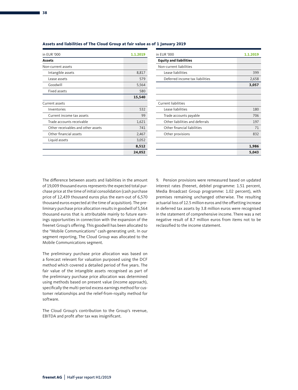| ٠<br>۰.<br>۰.<br>. .<br>۰.<br>- |  |
|---------------------------------|--|
|                                 |  |

| in EUR '000                        | 1.1.2019 | in EUR '000                     | 1.1.2019   |
|------------------------------------|----------|---------------------------------|------------|
| <b>Assets</b>                      |          | <b>Equity and liabilities</b>   |            |
| Non-current assets                 |          | Non-current liabilities         |            |
| Intangible assets                  | 8,817    | Lease liabilities               | 399        |
| Lease assets                       | 579      | Deferred income tax liabilities | 2,658      |
| Goodwill                           | 5,564    |                                 | 3,057      |
| Fixed assets                       | 580      |                                 |            |
|                                    | 15,540   |                                 |            |
| Current assets                     |          | Current liabilities             |            |
| Inventories                        | 532      | Lease liabilities               | <b>180</b> |
| Current income tax assets          | 99       | Trade accounts payable          | 706        |
| Trade accounts receivable          | 1,621    | Other liabilities and deferrals | 197        |
| Other receivables and other assets | 741      | Other financial liabilities     | 71         |
| Other financial assets             | 2,467    | Other provisions                | 832        |
| Liquid assets                      | 3,052    |                                 |            |
|                                    | 8,512    |                                 | 1,986      |
|                                    | 24,052   |                                 | 5,043      |

| <b>UR '000</b>                     | 1.1.2019 | in EUR '000                     | 1.1.2019 |
|------------------------------------|----------|---------------------------------|----------|
| ets                                |          | <b>Equity and liabilities</b>   |          |
| i-current assets                   |          | Non-current liabilities         |          |
| Intangible assets                  | 8,817    | Lease liabilities               | 399      |
| Lease assets                       | 579      | Deferred income tax liabilities | 2,658    |
| Goodwill                           | 5,564    |                                 | 3,057    |
| Fixed assets                       | 580      |                                 |          |
|                                    | 15,540   |                                 |          |
| rent assets                        |          | <b>Current liabilities</b>      |          |
| Inventories                        | 532      | Lease liabilities               | 180      |
| Current income tax assets          | 99       | Trade accounts payable          | 706      |
| Trade accounts receivable          | 1,621    | Other liabilities and deferrals | 197      |
| Other receivables and other assets | 741      | Other financial liabilities     | 71       |
| Other financial assets             | 2,467    | Other provisions                | 832      |
| Liquid assets                      | 3,052    |                                 |          |
|                                    | 8,512    |                                 | 1,986    |
|                                    | 24,052   |                                 | 5,043    |

#### **Assets and liabilities of The Cloud Group at fair value as of 1 January 2019**

The difference between assets and liabilities in the amount of 19,009 thousand euros represents the expected total purchase price at the time of initial consolidation (cash purchase price of 12,439 thousand euros plus the earn-out of 6,570 thousand euros expected at the time of acquisition). The preliminary purchase price allocation results in goodwill of 5,564 thousand euros that is attributable mainly to future earnings opportunities in connection with the expansion of the freenet Group's offering. This goodwill has been allocated to the "Mobile Communications" cash-generating unit. In our segment reporting, The Cloud Group was allocated to the Mobile Communications segment.

The preliminary purchase price allocation was based on a forecast relevant for valuation purposed using the DCF method which covered a detailed period of five years. The fair value of the intangible assets recognised as part of the preliminary purchase price allocation was determined using methods based on present value (income approach), specifically the multi-period excess earnings method for customer relationships and the relief-from-royalty method for software.

The Cloud Group's contribution to the Group's revenue, EBITDA and profit after tax was insignificant.

9. Pension provisions were remeasured based on updated interest rates (freenet, debitel programme: 1.51 percent, Media Broadcast Group programme: 1.02 percent), with premises remaining unchanged otherwise. The resulting actuarial loss of 12.5 million euros and the offsetting increase in deferred tax assets by 3.8 million euros were recognised in the statement of comprehensive income. There was a net negative result of 8.7 million euros from items not to be reclassified to the income statement.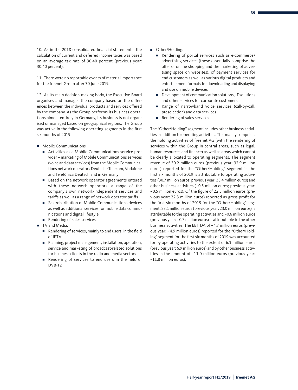10. As in the 2018 consolidated financial statements, the calculation of current and deferred income taxes was based on an average tax rate of 30.40 percent (previous year: 30.40 percent).

11. There were no reportable events of material importance for the freenet Group after 30 June 2019.

12. As its main decision-making body, the Executive Board organises and manages the company based on the differences between the individual products and services offered by the company. As the Group performs its business operations almost entirely in Germany, its business is not organised or managed based on geographical regions. The Group was active in the following operating segments in the first six months of 2019:

- Mobile Communications
	- Activities as a Mobile Communications service provider – marketing of Mobile Communications services (voice and data services) from the Mobile Communications network operators Deutsche Telekom, Vodafone and Telefónica Deutschland in Germany
	- Based on the network operator agreements entered with these network operators, a range of the company's own network-independent services and tariffs as well as a range of network operator tariffs
	- Sale/distribution of Mobile Communications devices as well as additional services for mobile data communications and digital lifestyle
	- Rendering of sales services
- TV and Media:
	- Rendering of services, mainly to end users, in the field of IPTV
	- Planning, project management, installation, operation, service and marketing of broadcast-related solutions for business clients in the radio and media sectors
	- Rendering of services to end users in the field of DVB-T2
- Other/Holding:
	- Rendering of portal services such as e-commerce/ advertising services (these essentially comprise the offer of online shopping and the marketing of advertising space on websites), of payment services for end customers as well as various digital products and entertainment formats for downloading and displaying and use on mobile devices
	- Development of communication solutions, IT solutions and other services for corporate customers
	- Range of narrowband voice services (call-by-call, preselection) and data services
	- Rendering of sales services

The "Other/Holding" segment includes other business activities in addition to operating activities. This mainly comprises the holding activities of freenet AG (with the rendering of services within the Group in central areas, such as legal, human resources and finance) as well as areas which cannot be clearly allocated to operating segments. The segment revenue of 30.2 million euros (previous year: 32.9 million euros) reported for the "Other/Holding" segment in the first six months of 2019 is attributable to operating activities (30.7 million euros; previous year: 33.4 million euros) and other business activities (–0.5 million euros; previous year: –0.5 million euros). Of the figure of 22.5 million euros (previous year: 22.3 million euros) reported as gross profit for the first six months of 2019 for the "Other/Holding" segment, 23.1 million euros (previous year: 23.0 million euros) is attributable to the operating activities and –0.6 million euros (previous year: –0.7 million euros) is attributable to the other business activities. The EBITDA of –4.7 million euros (previous year: –4.9 million euros) reported for the "Other/Holding" segment for the first six months of 2019 was accounted for by operating activities to the extent of 6.3 million euros (previous year: 6.9 million euros) and by other business activities in the amount of –11.0 million euros (previous year: –11.8 million euros).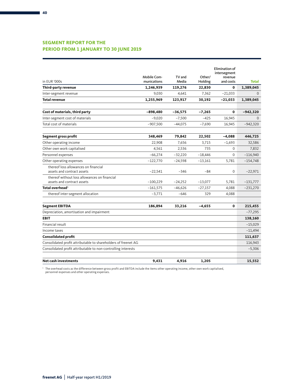### **SEGMENT REPORT FOR THE PERIOD FROM 1 JANUARY TO 30 JUNE 2019**

|                                                                    |                                   |                 |                   | Elimination of       |              |
|--------------------------------------------------------------------|-----------------------------------|-----------------|-------------------|----------------------|--------------|
|                                                                    |                                   |                 |                   | intersegment         |              |
| in EUR '000s                                                       | <b>Mobile Com-</b><br>munications | TV and<br>Media | Other/<br>Holding | revenue<br>and costs | <b>Total</b> |
| Third-party revenue                                                | 1,246,939                         | 119,276         | 22,830            | $\mathbf{0}$         | 1,389,045    |
| Inter-segment revenue                                              | 9,030                             | 4,641           | 7,362             | $-21,033$            | $\Omega$     |
| <b>Total revenue</b>                                               | 1,255,969                         | 123,917         | 30,192            | $-21,033$            | 1,389,045    |
|                                                                    |                                   |                 |                   |                      |              |
| Cost of materials, third party                                     | $-898,480$                        | $-36,575$       | $-7,265$          | $\mathbf{0}$         | $-942,320$   |
| Inter-segment cost of materials                                    | $-9,020$                          | $-7,500$        | $-425$            | 16,945               | $\Omega$     |
| Total cost of materials                                            | $-907,500$                        | $-44,075$       | $-7,690$          | 16,945               | $-942,320$   |
|                                                                    | 348,469                           | 79,842          | 22,502            |                      | 446,725      |
| Segment gross profit                                               |                                   |                 |                   | $-4,088$             |              |
| Other operating income                                             | 22,908                            | 7.656           | 3.715             | $-1,693$             | 32,586       |
| Other own work capitalised                                         | 4,561                             | 2,536           | 735               | $\mathbf{0}$         | 7,832        |
| Personnel expenses                                                 | $-66,274$                         | $-32,220$       | $-18,446$         | $\mathbf 0$          | $-116,940$   |
| Other operating expenses                                           | $-122,770$                        | $-24,598$       | $-13,161$         | 5,781                | $-154,748$   |
| thereof loss allowances on financial<br>assets and contract assets | $-22,541$                         | $-346$          | $-84$             | $\mathbf 0$          | $-22,971$    |
| thereof without loss allowances on financial                       |                                   |                 |                   |                      |              |
| assets and contract assets                                         | $-100,229$                        | $-24,252$       | $-13,077$         | 5,781                | $-131,777$   |
| Total overhead <sup>1</sup>                                        | $-161,575$                        | $-46,626$       | $-27,157$         | 4,088                | $-231,270$   |
| thereof inter-segment allocation                                   | $-3,771$                          | $-646$          | 329               | 4,088                |              |
| <b>Segment EBITDA</b>                                              | 186,894                           | 33,216          | $-4,655$          | $\mathbf{0}$         | 215,455      |
| Depreciation, amortisation and impairment                          |                                   |                 |                   |                      | $-77,295$    |
| <b>EBIT</b>                                                        |                                   |                 |                   |                      | 138,160      |
| Financial result                                                   |                                   |                 |                   |                      | $-15,029$    |
| Income taxes                                                       |                                   |                 |                   |                      | $-11,494$    |
| <b>Consolidated profit</b>                                         |                                   |                 |                   |                      | 111,637      |
| Consolidated profit attributable to shareholders of freenet AG     |                                   |                 |                   |                      | 116,943      |
| Consolidated profit attributable to non-controlling interests      |                                   |                 |                   |                      | $-5,306$     |
| <b>Net cash investments</b>                                        | 9,431                             | 4,916           | 1,205             |                      | 15.552       |

' The overhead costs as the difference between gross profit and EBITDA include the items other operating income, other own work capitalised,<br>personnel expenses and other operating expenses.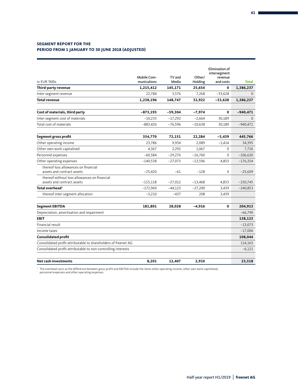#### **SEGMENT REPORT FOR THE PERIOD FROM 1 JANUARY TO 30 JUNE 2018 (ADJUSTED)**

| in EUR '000s                                                               | Mobile Com-<br>munications | TV and<br>Media | Other/<br>Holding | <b>Elimination of</b><br>intersegment<br>revenue<br>and costs | <b>Total</b> |
|----------------------------------------------------------------------------|----------------------------|-----------------|-------------------|---------------------------------------------------------------|--------------|
| Third-party revenue                                                        | 1,215,412                  | 145,171         | 25,654            | 0                                                             | 1,386,237    |
| Inter-segment revenue                                                      | 22,784                     | 3,576           | 7,268             | $-33,628$                                                     | $\mathbf{0}$ |
| <b>Total revenue</b>                                                       | 1,238,196                  | 148,747         | 32,922            | $-33,628$                                                     | 1,386,237    |
| Cost of materials, third party                                             | $-873,193$                 | $-59,304$       | $-7,974$          | $\mathbf{0}$                                                  | $-940,471$   |
| Inter-segment cost of materials                                            | $-10,233$                  | $-17,292$       | $-2,664$          | 30,189                                                        | $\Omega$     |
| Total cost of materials                                                    | $-883,426$                 | $-76,596$       | $-10,638$         | 30,189                                                        | $-940,471$   |
| Segment gross profit                                                       | 354,770                    | 72,151          | 22,284            | $-3,439$                                                      | 445,766      |
| Other operating income                                                     | 23,786                     | 9,934           | 2,089             | $-1,414$                                                      | 34,395       |
| Other own work capitalised                                                 | 4,367                      | 2,292           | 1,067             | $\mathbf{0}$                                                  | 7,726        |
| Personnel expenses                                                         | $-60,584$                  | $-29,276$       | $-16,760$         | $\Omega$                                                      | $-106,620$   |
| Other operating expenses                                                   | $-140,538$                 | $-27,073$       | $-13,596$         | 4,853                                                         | $-176,354$   |
| thereof loss allowances on financial<br>assets and contract assets         | $-25,420$                  | $-61$           | $-128$            | $\Omega$                                                      | $-25,609$    |
| thereof without loss allowances on financial<br>assets and contract assets | $-115,118$                 | $-27,012$       | $-13,468$         | 4,853                                                         | $-150,745$   |
| Total overhead <sup>1</sup>                                                | $-172,969$                 | $-44,123$       | $-27,200$         | 3,439                                                         | $-240,853$   |
| thereof inter-segment allocation                                           | $-3,210$                   | $-437$          | 208               | 3,439                                                         |              |
| <b>Segment EBITDA</b>                                                      | 181,801                    | 28,028          | $-4,916$          | $\mathbf{0}$                                                  | 204,913      |
| Depreciation, amortisation and impairment                                  |                            |                 |                   |                                                               | $-66,790$    |
| <b>EBIT</b>                                                                |                            |                 |                   |                                                               | 138,123      |
| Financial result                                                           |                            |                 |                   |                                                               | $-13,073$    |
| Income taxes                                                               |                            |                 |                   |                                                               | $-17,006$    |
| <b>Consolidated profit</b>                                                 |                            |                 |                   |                                                               | 108,044      |
| Consolidated profit attributable to shareholders of freenet AG             |                            |                 |                   |                                                               | 114,165      |
| Consolidated profit attributable to non-controlling interests              |                            |                 |                   |                                                               | $-6,121$     |
| <b>Net cash investments</b>                                                | 8,201                      | 12,407          | 2,910             |                                                               | 23,518       |

1 The overhead costs as the difference between gross profit and EBITDA include the items other operating income, other own work capitalised, personnel expenses and other operating expenses.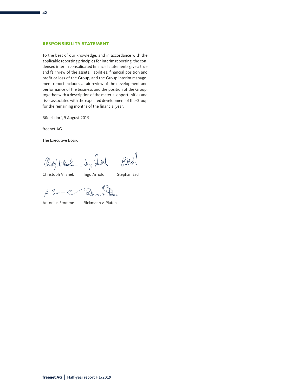#### **RESPONSIBILITY STATEMENT**

To the best of our knowledge, and in accordance with the applicable reporting principles for interim reporting, the condensed interim consolidated financial statements give a true and fair view of the assets, liabilities, financial position and profit or loss of the Group, and the Group interim management report includes a fair review of the development and performance of the business and the position of the Group, together with a description of the material opportunities and risks associated with the expected development of the Group for the remaining months of the financial year.

Büdelsdorf, 9 August 2019

freenet AG

The Executive Board

 $g($  $H3$ Rielph Vilant Dys Sauled

Christoph Vilanek Ingo Arnold Stephan Esch

- Zickian p 産業ーン

Antonius Fromme Rickmann v. Platen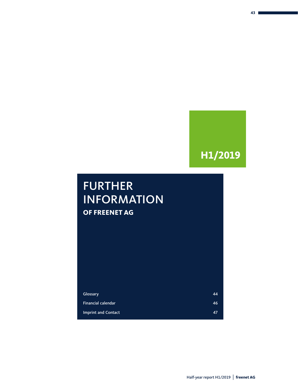## **H1/2019**

### FURTHER INFORMATION **OF FREENET AG**

| Glossary                   | 44 |
|----------------------------|----|
| <b>Financial calendar</b>  | 46 |
| <b>Imprint and Contact</b> | 47 |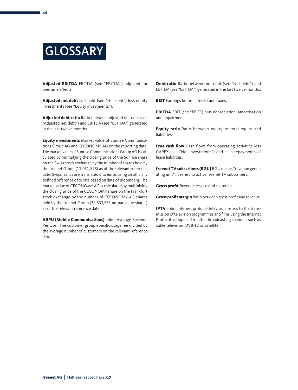

**Adjusted EBITDA**  EBITDA (see "EBITDA") adjusted for one-time effects.

**Adjusted net debt** Net debt (see "Net debt") less equity investments (see "Equity investments").

**Adjusted debt ratio** Ratio between adjusted net debt (see "Adjusted net debt") and EBITDA (see "EBITDA") generated in the last twelve months.

**Equity investments** Market value of Sunrise Communications Group AG and CECONOMY AG on the reporting date. The market value of Sunrise Communications Group AG is calculated by multiplying the closing price of the Sunrise share on the Swiss stock exchange by the number of shares held by the freenet Group (11,051,578) as of the relevant reference date. Swiss francs are translated into euros using an officially defined reference date rate based on data of Bloomberg. The market value of CECONOMY AG is calculated by multiplying the closing price of the CECONOMY share on the Frankfurt stock exchange by the number of CECONOMY AG shares held by the freenet Group (32,633,555 no-par-value shares) as of the relevant reference date.

**ARPU (Mobile Communications)** abbr., Average Revenue Per User. The customer group-specific usage fee divided by the average number of customers on the relevant reference date.

**Debt ratio** Ratio between net debt (see "Net debt") and EBITDA (see "EBITDA") generated in the last twelve months.

**EBIT** Earnings before interest and taxes.

**EBITDA** EBIT (see "EBIT") plus depreciation, amortisation and impairment

**Equity ratio** Ratio between equity to total equity and liabilities.

**Free cash flow** Cash flows from operating activities less CAPEX (see "Net investments") and cash repayments of lease liabilities.

**freenet TV subscribers (RGU)** RGU means "revenue generating unit"; it refers to active freenet TV subscribers.

**Gross profit** Revenue less cost of materials.

**Gross profit margin** Ratio between gross profit and revenue.

**IPTV** abbr., Internet protocol television; refers to the transmission of television programmes and films using the Internet Protocol as opposed to other broadcasting channels such as cable television, DVB-T2 or satellite.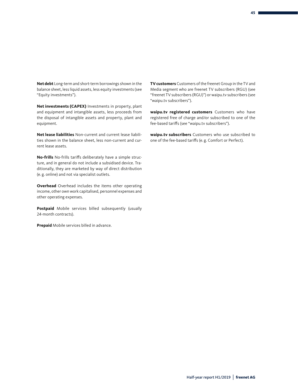**Net debt** Long-term and short-term borrowings shown in the balance sheet, less liquid assets, less equity investments (see "Equity investments").

**Net investments (CAPEX)** Investments in property, plant and equipment and intangible assets, less proceeds from the disposal of intangible assets and property, plant and equipment.

**Net lease liabilities** Non-current and current lease liabilities shown in the balance sheet, less non-current and current lease assets.

**No-frills** No-frills tariffs deliberately have a simple structure, and in general do not include a subsidised device. Traditionally, they are marketed by way of direct distribution (e. g. online) and not via specialist outlets.

**Overhead** Overhead includes the items other operating income, other own work capitalised, personnel expenses and other operating expenses.

**Postpaid** Mobile services billed subsequently (usually 24-month contracts).

**Prepaid** Mobile services billed in advance.

**TV customers** Customers of the freenet Group in the TV and Media segment who are freenet TV subscribers (RGU) (see "freenet TV subscribers (RGU)") or waipu.tv subscribers (see "waipu.tv subscribers").

**waipu.tv registered customers** Customers who have registered free of charge and/or subscribed to one of the fee-based tariffs (see "waipu.tv subscribers").

**waipu.tv subscribers** Customers who use subscribed to one of the fee-based tariffs (e. g. Comfort or Perfect).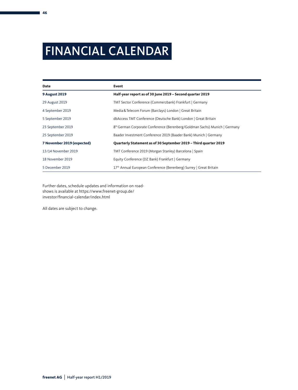## FINANCIAL CALENDAR

| Date                       | Event                                                                      |
|----------------------------|----------------------------------------------------------------------------|
| <b>9 August 2019</b>       | Half-year report as of 30 June 2019 - Second quarter 2019                  |
| 29 August 2019             | TMT Sector Conference (Commerzbank) Frankfurt   Germany                    |
| 4 September 2019           | Media & Telecom Forum (Barclays) London   Great Britain                    |
| 5 September 2019           | dbAccess TMT Conference (Deutsche Bank) London   Great Britain             |
| 23 September 2019          | 8th German Corporate Conference (Berenberg/Goldman Sachs) Munich   Germany |
| 25 September 2019          | Baader Investment Conference 2019 (Baader Bank) Munich   Germany           |
| 7 November 2019 (expected) | Quarterly Statement as of 30 September 2019 - Third quarter 2019           |
| 13/14 November 2019        | TMT Conference 2019 (Morgan Stanley) Barcelona   Spain                     |
| 18 November 2019           | Equity Conference (DZ Bank) Frankfurt   Germany                            |
| 5 December 2019            | 17th Annual European Conference (Berenberg) Surrey   Great Britain         |

Further dates, schedule updates and information on roadshows is available at https://www.freenet-group.de/ investor/financial-calendar/index.html

All dates are subject to change.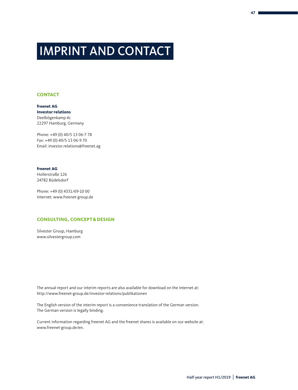## IMPRINT AND CONTACT

#### **CONTACT**

**freenet AG Investor relations** Deelbögenkamp 4c 22297 Hamburg, Germany

Phone: +49 (0) 40/5 13 06-7 78 Fax: +49 (0) 40/5 13 06-9 70 Email: investor.relations@freenet.ag

#### **freenet AG**

Hollerstraße 126 24782 Büdelsdorf

Phone: +49 (0) 4331/69-10 00 Internet: www.freenet-group.de

#### **CONSULTING, CONCEPT&DESIGN**

Silvester Group, Hamburg www.silvestergroup.com

The annual report and our interim reports are also available for download on the Internet at: http://www.freenet-group.de/investor-relations/publikationen

The English version of the interim report is a convenience translation of the German version. The German version is legally binding.

Current information regarding freenet AG and the freenet shares is available on our website at: www.freenet-group.de/en.